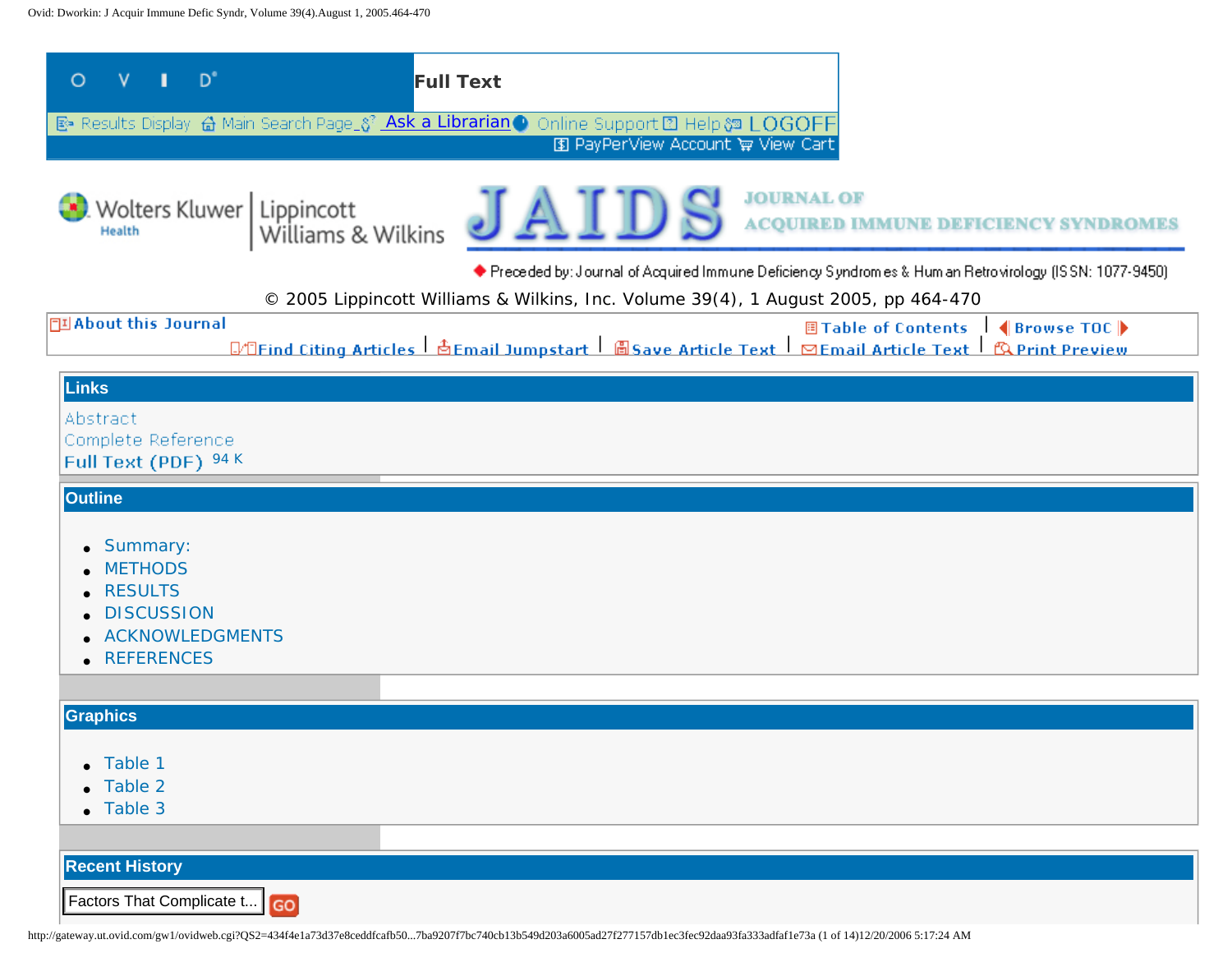<span id="page-0-0"></span>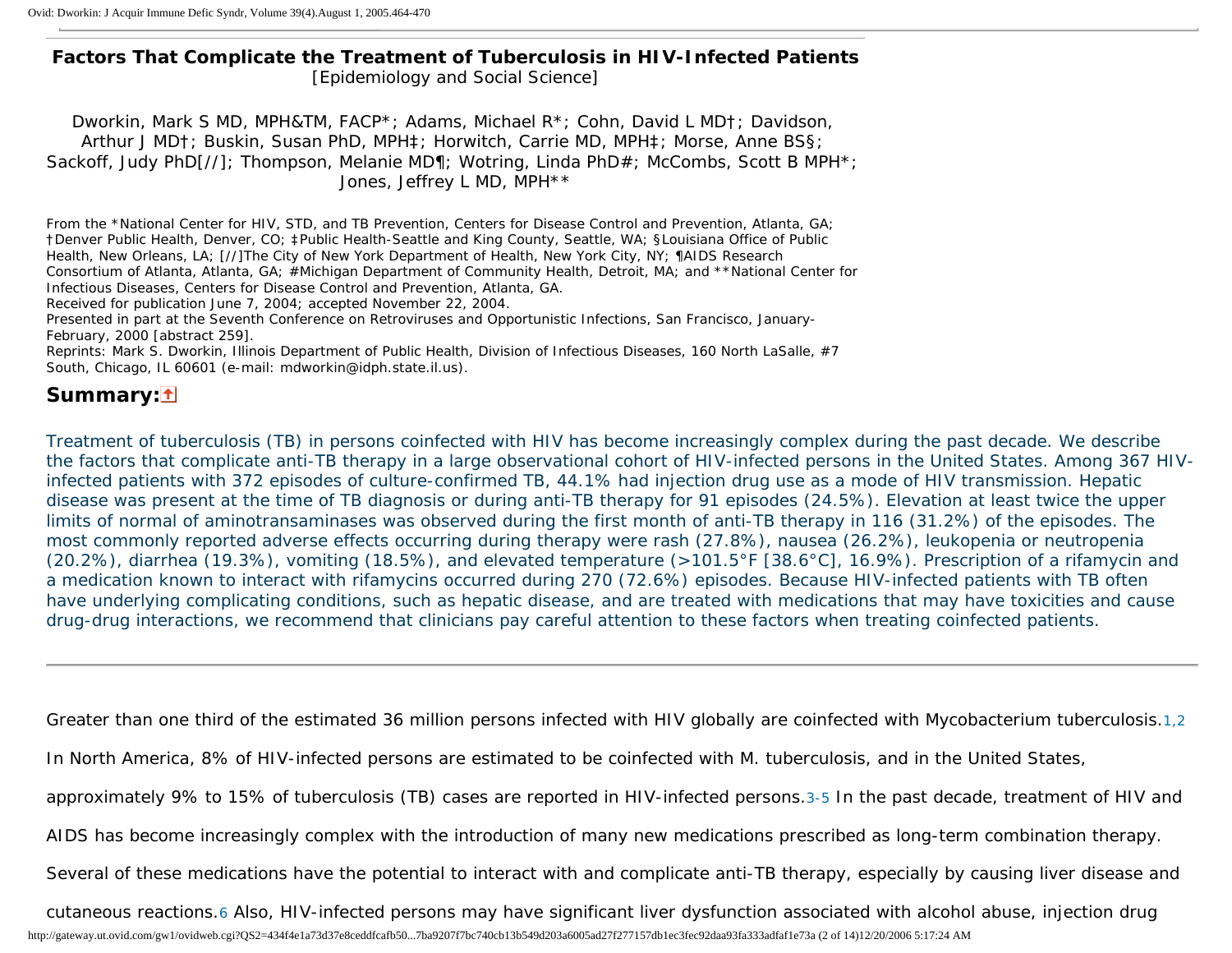### **Factors That Complicate the Treatment of Tuberculosis in HIV-Infected Patients**

[Epidemiology and Social Science]

Dworkin, Mark S MD, MPH&TM, FACP\*; Adams, Michael R\*; Cohn, David L MD†; Davidson, Arthur J MD†; Buskin, Susan PhD, MPH‡; Horwitch, Carrie MD, MPH‡; Morse, Anne BS§; Sackoff, Judy PhD[//]; Thompson, Melanie MD¶; Wotring, Linda PhD#; McCombs, Scott B MPH\*; Jones, Jeffrey L MD, MPH\*\*

From the \*National Center for HIV, STD, and TB Prevention, Centers for Disease Control and Prevention, Atlanta, GA; †Denver Public Health, Denver, CO; ‡Public Health-Seattle and King County, Seattle, WA; §Louisiana Office of Public Health, New Orleans, LA; [//]The City of New York Department of Health, New York City, NY; ¶AIDS Research Consortium of Atlanta, Atlanta, GA; #Michigan Department of Community Health, Detroit, MA; and \*\*National Center for Infectious Diseases, Centers for Disease Control and Prevention, Atlanta, GA.

Received for publication June 7, 2004; accepted November 22, 2004.

Presented in part at the Seventh Conference on Retroviruses and Opportunistic Infections, San Francisco, January-February, 2000 [abstract 259].

Reprints: Mark S. Dworkin, Illinois Department of Public Health, Division of Infectious Diseases, 160 North LaSalle, #7 South, Chicago, IL 60601 (e-mail: mdworkin@idph.state.il.us).

# <span id="page-1-0"></span>**Summary[:](#page-0-0)**

Treatment of tuberculosis (TB) in persons coinfected with HIV has become increasingly complex during the past decade. We describe the factors that complicate anti-TB therapy in a large observational cohort of HIV-infected persons in the United States. Among 367 HIVinfected patients with 372 episodes of culture-confirmed TB, 44.1% had injection drug use as a mode of HIV transmission. Hepatic disease was present at the time of TB diagnosis or during anti-TB therapy for 91 episodes (24.5%). Elevation at least twice the upper limits of normal of aminotransaminases was observed during the first month of anti-TB therapy in 116 (31.2%) of the episodes. The most commonly reported adverse effects occurring during therapy were rash (27.8%), nausea (26.2%), leukopenia or neutropenia (20.2%), diarrhea (19.3%), vomiting (18.5%), and elevated temperature (>101.5°F [38.6°C], 16.9%). Prescription of a rifamycin and a medication known to interact with rifamycins occurred during 270 (72.6%) episodes. Because HIV-infected patients with TB often have underlying complicating conditions, such as hepatic disease, and are treated with medications that may have toxicities and cause drug-drug interactions, we recommend that clinicians pay careful attention to these factors when treating coinfected patients.

<span id="page-1-1"></span>Greater than one third of the estimated 36 million persons infected with HIV globally are coinfected with *Mycobacterium tuberculosis*.[1,2](#page-11-1)

In North America, 8% of HIV-infected persons are estimated to be coinfected with *M. tuberculosis*, and in the United States,

approximately 9% to 15% of tuberculosis (TB) cases are reported in HIV-infected persons[.3-5](#page-11-2) In the past decade, treatment of HIV and

AIDS has become increasingly complex with the introduction of many new medications prescribed as long-term combination therapy.

Several of these medications have the potential to interact with and complicate anti-TB therapy, especially by causing liver disease and

cutaneous reactions.[6](#page-11-3) Also, HIV-infected persons may have significant liver dysfunction associated with alcohol abuse, injection drug http://gateway.ut.ovid.com/gw1/ovidweb.cgi?QS2=434f4e1a73d37e8ceddfcafb50...7ba9207f7bc740cb13b549d203a6005ad27f277157db1ec3fec92daa93fa333adfaf1e73a (2 of 14)12/20/2006 5:17:24 AM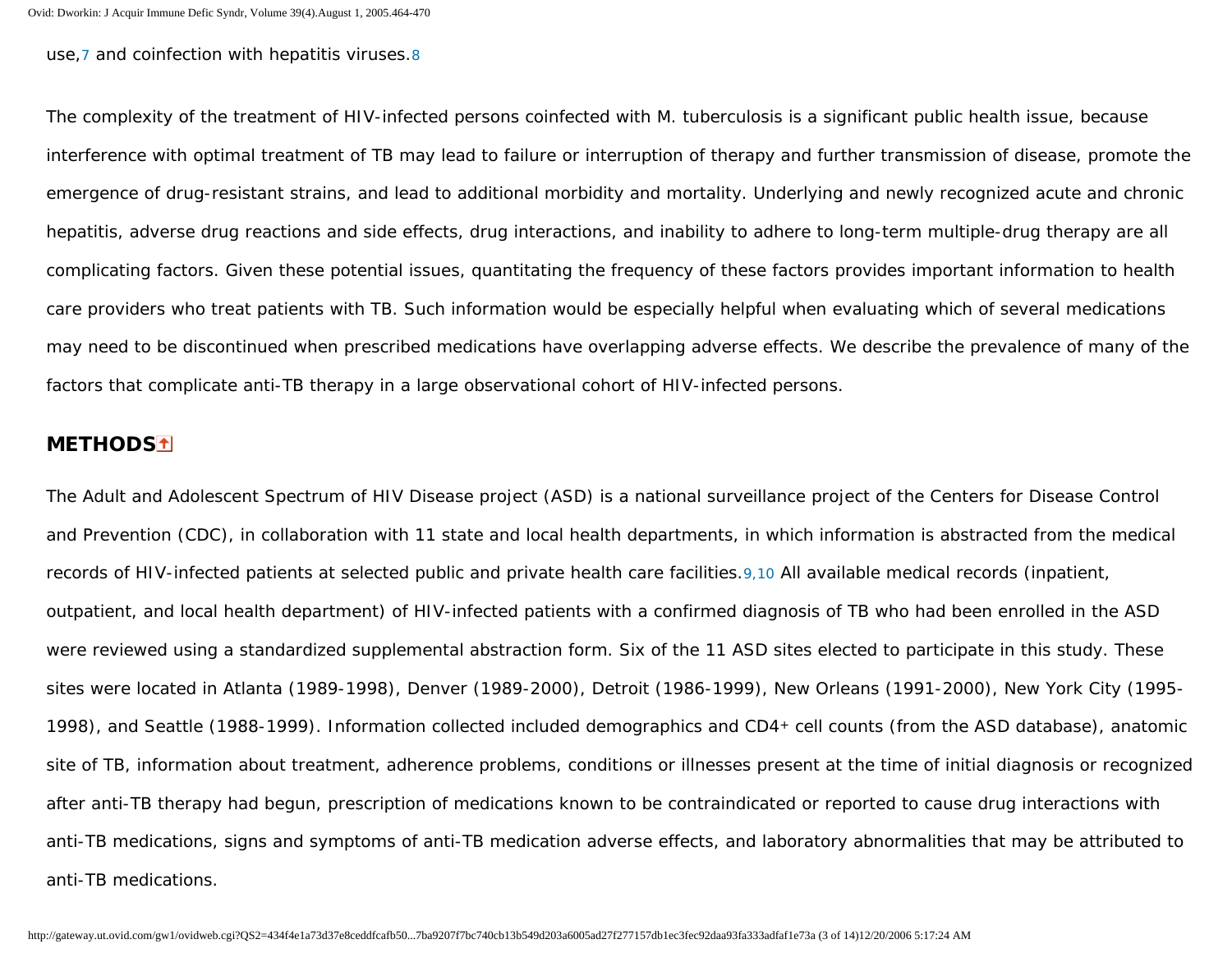use[,7](#page-11-4) and coinfection with hepatitis viruses.[8](#page-11-5)

The complexity of the treatment of HIV-infected persons coinfected with *M. tuberculosis* is a significant public health issue, because interference with optimal treatment of TB may lead to failure or interruption of therapy and further transmission of disease, promote the emergence of drug-resistant strains, and lead to additional morbidity and mortality. Underlying and newly recognized acute and chronic hepatitis, adverse drug reactions and side effects, drug interactions, and inability to adhere to long-term multiple-drug therapy are all complicating factors. Given these potential issues, quantitating the frequency of these factors provides important information to health care providers who treat patients with TB. Such information would be especially helpful when evaluating which of several medications may need to be discontinued when prescribed medications have overlapping adverse effects. We describe the prevalence of many of the factors that complicate anti-TB therapy in a large observational cohort of HIV-infected persons.

## <span id="page-2-1"></span><span id="page-2-0"></span>**METHODS**

The Adult and Adolescent Spectrum of HIV Disease project (ASD) is a national surveillance project of the Centers for Disease Control and Prevention (CDC), in collaboration with 11 state and local health departments, in which information is abstracted from the medical records of HIV-infected patients at selected public and private health care facilities.[9,10](#page-11-6) All available medical records (inpatient, outpatient, and local health department) of HIV-infected patients with a confirmed diagnosis of TB who had been enrolled in the ASD were reviewed using a standardized supplemental abstraction form. Six of the 11 ASD sites elected to participate in this study. These sites were located in Atlanta (1989-1998), Denver (1989-2000), Detroit (1986-1999), New Orleans (1991-2000), New York City (1995- 1998), and Seattle (1988-1999). Information collected included demographics and CD4+ cell counts (from the ASD database), anatomic site of TB, information about treatment, adherence problems, conditions or illnesses present at the time of initial diagnosis or recognized after anti-TB therapy had begun, prescription of medications known to be contraindicated or reported to cause drug interactions with anti-TB medications, signs and symptoms of anti-TB medication adverse effects, and laboratory abnormalities that may be attributed to anti-TB medications.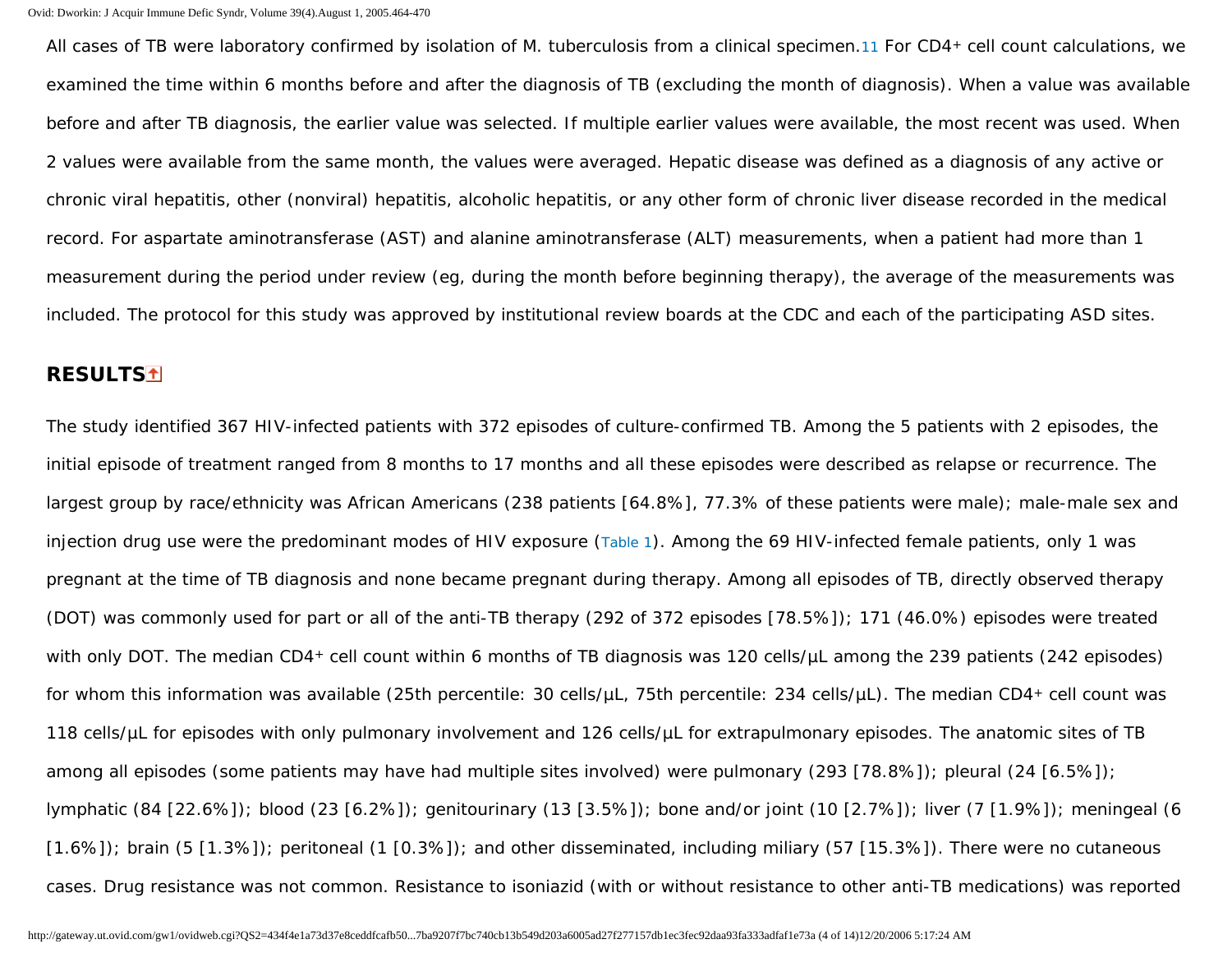<span id="page-3-1"></span>All cases of TB were laboratory confirmed by isolation of *M. tuberculosis* from a clinical specimen.[11](#page-11-7) For CD4+ cell count calculations, we examined the time within 6 months before and after the diagnosis of TB (excluding the month of diagnosis). When a value was available before and after TB diagnosis, the earlier value was selected. If multiple earlier values were available, the most recent was used. When 2 values were available from the same month, the values were averaged. Hepatic disease was defined as a diagnosis of any active or chronic viral hepatitis, other (nonviral) hepatitis, alcoholic hepatitis, or any other form of chronic liver disease recorded in the medical record. For aspartate aminotransferase (AST) and alanine aminotransferase (ALT) measurements, when a patient had more than 1 measurement during the period under review (eg, during the month before beginning therapy), the average of the measurements was included. The protocol for this study was approved by institutional review boards at the CDC and each of the participating ASD sites.

### <span id="page-3-0"></span>**RESULTS**

The study identified 367 HIV-infected patients with 372 episodes of culture-confirmed TB. Among the 5 patients with 2 episodes, the initial episode of treatment ranged from 8 months to 17 months and all these episodes were described as relapse or recurrence. The largest group by race/ethnicity was African Americans (238 patients [64.8%], 77.3% of these patients were male); male-male sex and injection drug use were the predominant modes of HIV exposure ([Table 1](#page-4-0)). Among the 69 HIV-infected female patients, only 1 was pregnant at the time of TB diagnosis and none became pregnant during therapy. Among all episodes of TB, directly observed therapy (DOT) was commonly used for part or all of the anti-TB therapy (292 of 372 episodes [78.5%]); 171 (46.0%) episodes were treated with only DOT. The median CD4+ cell count within 6 months of TB diagnosis was 120 cells/µL among the 239 patients (242 episodes) for whom this information was available (25th percentile: 30 cells/µL, 75th percentile: 234 cells/µL). The median CD4+ cell count was 118 cells/µL for episodes with only pulmonary involvement and 126 cells/µL for extrapulmonary episodes. The anatomic sites of TB among all episodes (some patients may have had multiple sites involved) were pulmonary (293 [78.8%]); pleural (24 [6.5%]); lymphatic (84 [22.6%]); blood (23 [6.2%]); genitourinary (13 [3.5%]); bone and/or joint (10 [2.7%]); liver (7 [1.9%]); meningeal (6 [1.6%]); brain (5 [1.3%]); peritoneal (1 [0.3%]); and other disseminated, including miliary (57 [15.3%]). There were no cutaneous cases. Drug resistance was not common. Resistance to isoniazid (with or without resistance to other anti-TB medications) was reported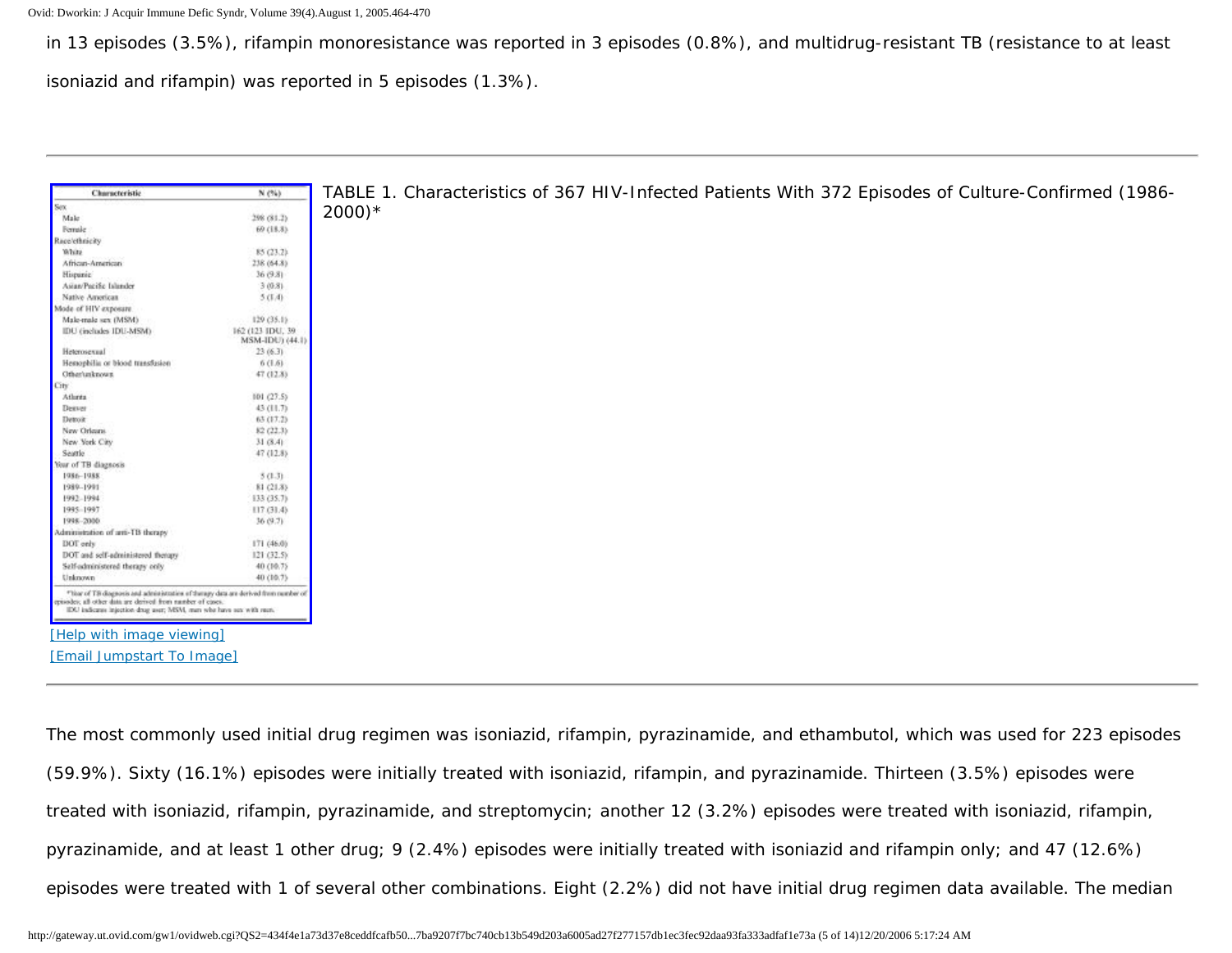Ovid: Dworkin: J Acquir Immune Defic Syndr, Volume 39(4).August 1, 2005.464-470

in 13 episodes (3.5%), rifampin monoresistance was reported in 3 episodes (0.8%), and multidrug-resistant TB (resistance to at least

isoniazid and rifampin) was reported in 5 episodes (1.3%).

<span id="page-4-0"></span>

| Characteristic                                                                                                                                                                                                           | N(24)                                | TABLE 1. Characteristics of 367 HIV-Infected Patients With 372 Episodes of Culture-Confirmed (1986- |
|--------------------------------------------------------------------------------------------------------------------------------------------------------------------------------------------------------------------------|--------------------------------------|-----------------------------------------------------------------------------------------------------|
| Sex                                                                                                                                                                                                                      |                                      | $2000)*$                                                                                            |
| Make                                                                                                                                                                                                                     | 288 (81.2).                          |                                                                                                     |
| Female                                                                                                                                                                                                                   | 69 (18.8).                           |                                                                                                     |
| Race/ethnicity                                                                                                                                                                                                           |                                      |                                                                                                     |
| White                                                                                                                                                                                                                    | 85 (23.2).                           |                                                                                                     |
| African-American                                                                                                                                                                                                         | 238 (64.8)                           |                                                                                                     |
| Hispanic                                                                                                                                                                                                                 | 36(9.8)                              |                                                                                                     |
| Asian/Pacific Islander                                                                                                                                                                                                   | 3(0.8)                               |                                                                                                     |
| Native American                                                                                                                                                                                                          | 5 (1.4)                              |                                                                                                     |
| Mode of HIV exposure                                                                                                                                                                                                     |                                      |                                                                                                     |
| Make-trale sex (MSM)                                                                                                                                                                                                     | 129 (35.1).                          |                                                                                                     |
| IDU (includes IDU-MSV)                                                                                                                                                                                                   | 162 (123 IDU, 39)<br>MSM-IDU) (44.1) |                                                                                                     |
| Heterosexual                                                                                                                                                                                                             | 23(6.3)                              |                                                                                                     |
| Hemophilia or blood mansfusion                                                                                                                                                                                           | 6(1.6)                               |                                                                                                     |
| Otherlanknows.                                                                                                                                                                                                           | 47 (12.8)                            |                                                                                                     |
| City                                                                                                                                                                                                                     |                                      |                                                                                                     |
| Atlanta                                                                                                                                                                                                                  | 101 (27.5)                           |                                                                                                     |
| Denver                                                                                                                                                                                                                   | 45 (11.7)                            |                                                                                                     |
| Detroit                                                                                                                                                                                                                  | 65 (17.2)                            |                                                                                                     |
| New Orleans                                                                                                                                                                                                              | \$22.3                               |                                                                                                     |
| New York City                                                                                                                                                                                                            | 31(8.4)                              |                                                                                                     |
| Seattle                                                                                                                                                                                                                  | 47 (12.8)                            |                                                                                                     |
| Your of TB diagnosis                                                                                                                                                                                                     |                                      |                                                                                                     |
| 1986-1988                                                                                                                                                                                                                | 5(1.3)                               |                                                                                                     |
| 1989-1991                                                                                                                                                                                                                | 81 (21.8)                            |                                                                                                     |
| 1992-1994                                                                                                                                                                                                                | 133 (35.7)                           |                                                                                                     |
| 1995-1997                                                                                                                                                                                                                | 117 (31.4)                           |                                                                                                     |
| 1998-2000                                                                                                                                                                                                                | 36 (9.7)                             |                                                                                                     |
| Administration of arti-TB therapy                                                                                                                                                                                        |                                      |                                                                                                     |
| DOT only                                                                                                                                                                                                                 | 171 (46.0)                           |                                                                                                     |
| DOT and self-administered therapy                                                                                                                                                                                        | 121 (32.5)                           |                                                                                                     |
| Self-administered therapy only                                                                                                                                                                                           | 40 (10.7)                            |                                                                                                     |
| Unknown                                                                                                                                                                                                                  | 40 (10.7)                            |                                                                                                     |
| *Your of TB disgnosis and administration of therapy data are derived from number of<br>rpisodes; all other data are derived from number of cases.<br>IDU indicates injection-drug user; MSM, man who have sex with reen. |                                      |                                                                                                     |
| [Help with image viewing]                                                                                                                                                                                                |                                      |                                                                                                     |
| [Email Jumpstart To Image]                                                                                                                                                                                               |                                      |                                                                                                     |

The most commonly used initial drug regimen was isoniazid, rifampin, pyrazinamide, and ethambutol, which was used for 223 episodes (59.9%). Sixty (16.1%) episodes were initially treated with isoniazid, rifampin, and pyrazinamide. Thirteen (3.5%) episodes were treated with isoniazid, rifampin, pyrazinamide, and streptomycin; another 12 (3.2%) episodes were treated with isoniazid, rifampin, pyrazinamide, and at least 1 other drug; 9 (2.4%) episodes were initially treated with isoniazid and rifampin only; and 47 (12.6%) episodes were treated with 1 of several other combinations. Eight (2.2%) did not have initial drug regimen data available. The median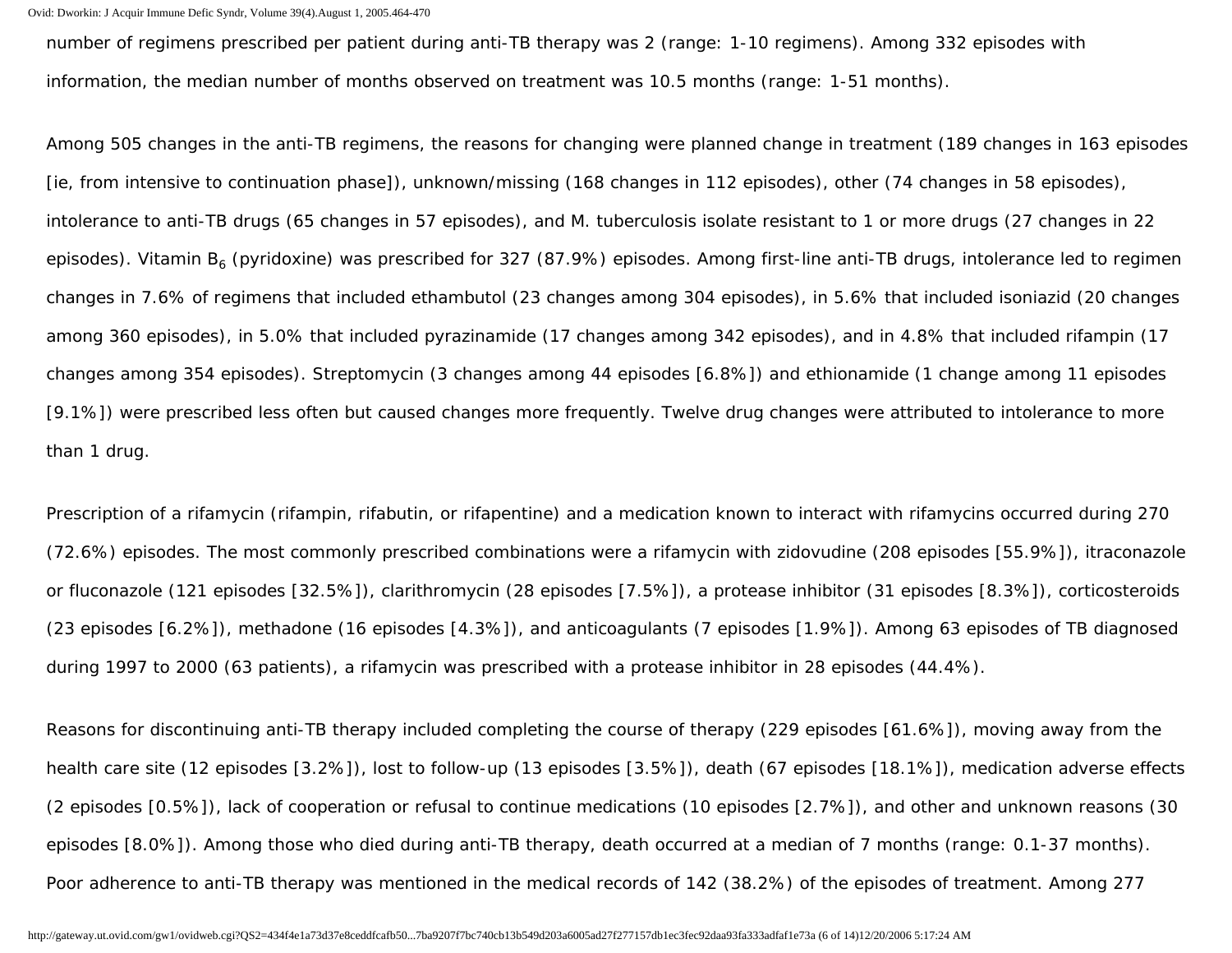```
Ovid: Dworkin: J Acquir Immune Defic Syndr, Volume 39(4).August 1, 2005.464-470
```
number of regimens prescribed per patient during anti-TB therapy was 2 (range: 1-10 regimens). Among 332 episodes with information, the median number of months observed on treatment was 10.5 months (range: 1-51 months).

Among 505 changes in the anti-TB regimens, the reasons for changing were planned change in treatment (189 changes in 163 episodes [ie, from intensive to continuation phase]), unknown/missing (168 changes in 112 episodes), other (74 changes in 58 episodes), intolerance to anti-TB drugs (65 changes in 57 episodes), and *M. tuberculosis* isolate resistant to 1 or more drugs (27 changes in 22 episodes). Vitamin  $B_6$  (pyridoxine) was prescribed for 327 (87.9%) episodes. Among first-line anti-TB drugs, intolerance led to regimen changes in 7.6% of regimens that included ethambutol (23 changes among 304 episodes), in 5.6% that included isoniazid (20 changes among 360 episodes), in 5.0% that included pyrazinamide (17 changes among 342 episodes), and in 4.8% that included rifampin (17 changes among 354 episodes). Streptomycin (3 changes among 44 episodes [6.8%]) and ethionamide (1 change among 11 episodes [9.1%]) were prescribed less often but caused changes more frequently. Twelve drug changes were attributed to intolerance to more than 1 drug.

Prescription of a rifamycin (rifampin, rifabutin, or rifapentine) and a medication known to interact with rifamycins occurred during 270 (72.6%) episodes. The most commonly prescribed combinations were a rifamycin with zidovudine (208 episodes [55.9%]), itraconazole or fluconazole (121 episodes [32.5%]), clarithromycin (28 episodes [7.5%]), a protease inhibitor (31 episodes [8.3%]), corticosteroids (23 episodes [6.2%]), methadone (16 episodes [4.3%]), and anticoagulants (7 episodes [1.9%]). Among 63 episodes of TB diagnosed during 1997 to 2000 (63 patients), a rifamycin was prescribed with a protease inhibitor in 28 episodes (44.4%).

Reasons for discontinuing anti-TB therapy included completing the course of therapy (229 episodes [61.6%]), moving away from the health care site (12 episodes [3.2%]), lost to follow-up (13 episodes [3.5%]), death (67 episodes [18.1%]), medication adverse effects (2 episodes [0.5%]), lack of cooperation or refusal to continue medications (10 episodes [2.7%]), and other and unknown reasons (30 episodes [8.0%]). Among those who died during anti-TB therapy, death occurred at a median of 7 months (range: 0.1-37 months). Poor adherence to anti-TB therapy was mentioned in the medical records of 142 (38.2%) of the episodes of treatment. Among 277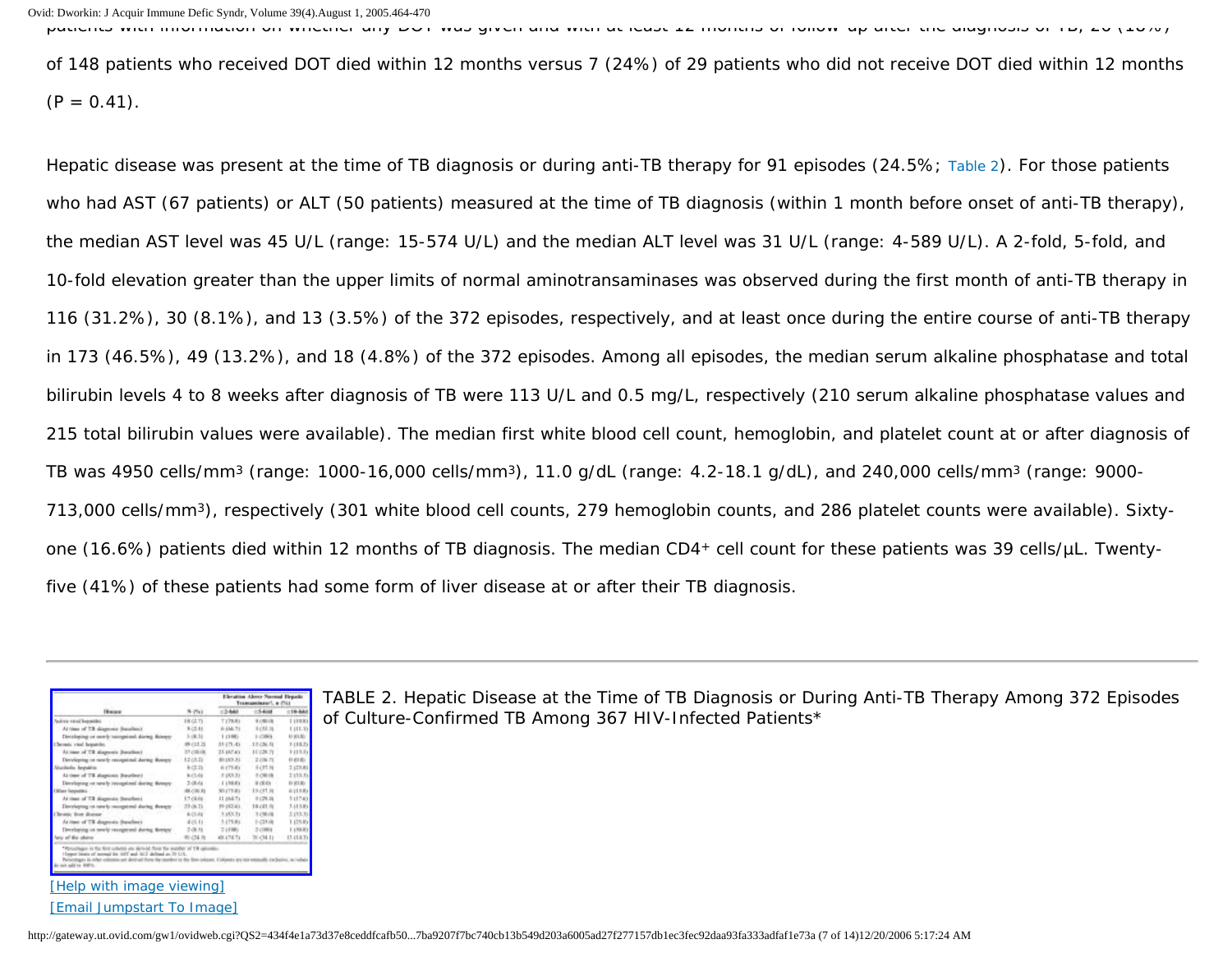patients with information on whether any DOT was given and with at least 12 months of follow-up after the diagnosis of TB, 26 (18%)

of 148 patients who received DOT died within 12 months versus 7 (24%) of 29 patients who did not receive DOT died within 12 months  $(P = 0.41)$ .

Hepatic disease was present at the time of TB diagnosis or during anti-TB therapy for 91 episodes (24.5%; [Table 2](#page-6-0)). For those patients who had AST (67 patients) or ALT (50 patients) measured at the time of TB diagnosis (within 1 month before onset of anti-TB therapy), the median AST level was 45 U/L (range: 15-574 U/L) and the median ALT level was 31 U/L (range: 4-589 U/L). A 2-fold, 5-fold, and 10-fold elevation greater than the upper limits of normal aminotransaminases was observed during the first month of anti-TB therapy in 116 (31.2%), 30 (8.1%), and 13 (3.5%) of the 372 episodes, respectively, and at least once during the entire course of anti-TB therapy in 173 (46.5%), 49 (13.2%), and 18 (4.8%) of the 372 episodes. Among all episodes, the median serum alkaline phosphatase and total bilirubin levels 4 to 8 weeks after diagnosis of TB were 113 U/L and 0.5 mg/L, respectively (210 serum alkaline phosphatase values and 215 total bilirubin values were available). The median first white blood cell count, hemoglobin, and platelet count at or after diagnosis of TB was 4950 cells/mm3 (range: 1000-16,000 cells/mm3), 11.0 g/dL (range: 4.2-18.1 g/dL), and 240,000 cells/mm3 (range: 9000- 713,000 cells/mm3), respectively (301 white blood cell counts, 279 hemoglobin counts, and 286 platelet counts were available). Sixtyone (16.6%) patients died within 12 months of TB diagnosis. The median CD4+ cell count for these patients was 39 cells/µL. Twentyfive (41%) of these patients had some form of liver disease at or after their TB diagnosis.

<span id="page-6-0"></span>

|           | Elecation Alerer Second Hypothi<br>Transportance, a (74)                         |                |            |  |
|-----------|----------------------------------------------------------------------------------|----------------|------------|--|
| 55 (Tel.) | $-7.440$                                                                         | $-1.4544$      | $18 - 640$ |  |
| 18 (2.T)  | T179.81                                                                          | 10000          | 111930     |  |
| 9 (13.4)  | ili 104-71.                                                                      | 1.00.16        | 1111.71    |  |
| 3138, 34  | 1.11000                                                                          | <b>E COREA</b> | O JOJES    |  |
| #611.22   | 33 (73.4)                                                                        | 11:56.58       | 5118.23    |  |
| 17 (16.06 | 23.107.83                                                                        | LE CRETE       | 1113)      |  |
| 12/3.39   | 80.EKS.31.                                                                       | 2.0% 31        | 0.83.85    |  |
| 8(2.2)    | 6 (TLE)                                                                          | FCTT-16        | 1 (19.8)   |  |
| 6.0146    | $-1$ (KS.T)                                                                      | 1,0818         | 2111.71    |  |
| 10.85     | 115887                                                                           | 9 (9.0)        | 自直面        |  |
| 新门系数      | <b>MUTLEL</b>                                                                    | 13 (37.16)     | 6115.81    |  |
| 17.04.04  | 11 Hd.Tx                                                                         | 9129.38        | 111740     |  |
| 23 (0.7)  | PF (X2.8)                                                                        | 18 043.51      | 3.113.85   |  |
| 6 03.84   | 3 per Fr                                                                         | 3,086.08       | fitth.     |  |
| 4.01.11   | 3.175.85                                                                         | 0.038.08       | 1125.85    |  |
| 3 08.84   | 71190                                                                            | 2,099          | 1155.83    |  |
| 95 (74.9) | 49.174.71                                                                        | $3814$ H       | 15.11.8.35 |  |
|           | *Requiringer in the first cellents are derived from the supplier of TW spinoder. |                |            |  |

TABLE 2. Hepatic Disease at the Time of TB Diagnosis or During Anti-TB Therapy Among 372 Episodes of Culture-Confirmed TB Among 367 HIV-Infected Patients\*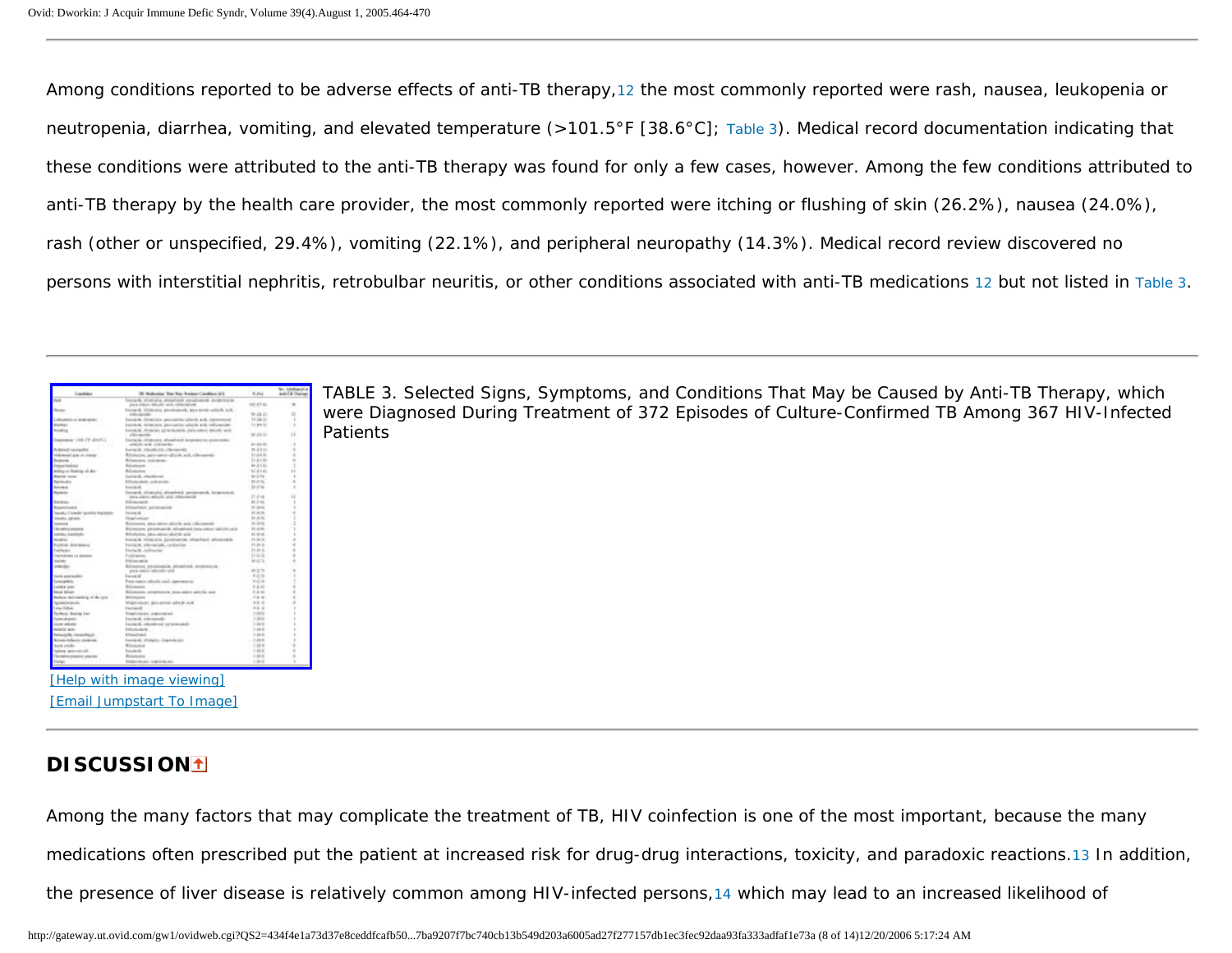<span id="page-7-2"></span>Among conditions reported to be adverse effects of anti-TB therapy,[12](#page-12-0) the most commonly reported were rash, nausea, leukopenia or neutropenia, diarrhea, vomiting, and elevated temperature (>101.5°F [38.6°C]; [Table 3\)](#page-7-1). Medical record documentation indicating that these conditions were attributed to the anti-TB therapy was found for only a few cases, however. Among the few conditions attributed to anti-TB therapy by the health care provider, the most commonly reported were itching or flushing of skin (26.2%), nausea (24.0%), rash (other or unspecified, 29.4%), vomiting (22.1%), and peripheral neuropathy (14.3%). Medical record review discovered no persons with interstitial nephritis, retrobulbar neuritis, or other conditions associated with anti-TB medications [12](#page-12-0) but not listed in [Table 3.](#page-7-1)

<span id="page-7-1"></span>

| <b>London</b>                         | 10 Holkman TracKar Avenue Carolinas (E)                                                        | A Pol           | So. Listensin<br>And Cit Therman |
|---------------------------------------|------------------------------------------------------------------------------------------------|-----------------|----------------------------------|
| tus                                   | basical, checkin, phophoed prodosted: instrinteds<br>pick-sheen all-of-z and chemical          | HE ITE.         | $\mathbf{u}$                     |
|                                       | Forscal, Historica presinessis, posterior solutile, and                                        |                 |                                  |
|                                       | THE CALIFORNIA                                                                                 | 80,60,50        | и                                |
| Lobalistic is side deal-              | basebards. (Homisalius appointed basebards and a representated                                 | 14.0km          | - 8                              |
| <b>Stanford</b><br>v.                 | briskat, mission percente islatic toll valuated:                                               | to are to       | ٠                                |
| <b>Building</b>                       | Louis, at 10 mins, gracialism percentaire attracts with<br><b>Village Alley</b>                | 40.446          | 14                               |
| Experience 1930.7T (EAFC)             | Exclude, cilization, allowhered strategies in preceding<br>solated and culturality.            | 81.01E1         | ٠                                |
| <b>Bylgdood</b> interested            | Exchange (Goodhood chierakols)                                                                 | 80.4531         | ٠                                |
| Melvineiral ante al column            | Relationizes, plant-subscio-alliands acid, relievalential                                      | 11 (6.8.3%)     | ٠                                |
| <b>Hoskerie</b>                       | RASMIDS, collected                                                                             | E1 41.1 Kv      | ٠                                |
| <b>Internal Andrews</b>               | Bullahmann                                                                                     | 90 (E.I.E.)     | i                                |
| bettery on them up of aller-          | Michael Co.                                                                                    | 16.0101         | 11.1                             |
| <b>Mandridge Control</b>              | <b>Lotia M. (Scolored)</b>                                                                     | <b>By STYLE</b> | - 1                              |
| <b>Ballished</b>                      | <b>Elizabeth Administration</b>                                                                | <b>TS IT'SS</b> | $\mathbf{r}$                     |
| <b><i><u><u>Localitat</u></u></i></b> | <b>Increased</b>                                                                               | 25.0746         | 3                                |
| <b>Hunter</b>                         | lancard, ricaculus, physicals, perceivance, internateda<br>para-video allicula and rehavantab- | 27474           | и                                |
| <b>Bistriking</b>                     | Education &                                                                                    | <b>BILLING</b>  | ٠                                |
| <b>Billian Concerted</b>              | Elhantsaut, paintinanide                                                                       | <b>TI SALE</b>  | ı                                |
|                                       | <b>Exercise Ind.</b>                                                                           | 41.414          | ٠                                |
| lands Condit antico band              |                                                                                                | <b>EL ACAL</b>  | ٠                                |
| lospeic, adusto                       | Torpicsbook                                                                                    |                 | 1                                |
| <b><i><u>Science Cold</u></i></b>     | Relationism, prescriptioni adlustic mail influentantini                                        | <b>61 (614)</b> |                                  |
| <b>Licenstructure</b>                 | Belomates, pyramogelidi, bilogehead jours untier salicitis usul                                | E1 10781        | ï                                |
| <b>Institute Languistic</b>           | BEURUPA, 26's objects shortly with                                                             | 112.0           | ×                                |
| <b>Barnetter</b>                      | beingal, relations, penetrantal, absorbed, attractable                                         | PT SETS         | A.                               |
| <b>EUGH-SENIA</b>                     | besical silensials critician                                                                   | <b>F1 30 31</b> | ×                                |
| Castiages                             | because of continentary                                                                        | 13.00.0         | ×                                |
| Deredrives on attorney                | Englawance                                                                                     | 110.9           | ٠                                |
| <b>Health</b>                         | Estrianoniak                                                                                   | 14.078          | ٠                                |
| <b>Independent</b>                    | BEnnis research, studied, evening<br>give a vehicle collection with                            | 世史方             | ٠                                |
| Tranks photosophili                   | <b>Front M</b>                                                                                 | 3.673           | ٠                                |
| Executive                             | Para realize selection and interconnects.                                                      | $-0.016$        | t                                |
| Looke por                             |                                                                                                | $-0.65$         | ٠                                |
| <b>Kenal Milvaro</b>                  | Milionalisa, integeroran da, picca content addressa quas                                       | 9.884           | $\rightarrow$                    |
| Paines and nastroy of the size.       | <b>Bit collective</b>                                                                          | 16.8            | ٠                                |
| Spinkin Street                        | Magnutosti, privatite schicki and                                                              | 清算符             | ٠                                |
| 1-in Falling                          | <b>Exercise AL</b>                                                                             | 12.4            | ٠                                |
| <b>Technol, Institut Trail</b>        | Singiciando, popionese                                                                         | 1,414           | ł                                |
| <b>Fernanesis</b>                     | Edwin-M. H.Kinsteiner                                                                          | 1,404           | ł                                |
| loom reliable.                        | Estatunik, rokoslovani poramozonik                                                             | 1.002           | ì                                |
| black say                             | Estate and all of                                                                              | $-1000$         | ٠                                |
| <b>Renaulti Important</b>             | Effectived                                                                                     | 1 20 5          | ٠                                |
| <b>Britain Schools continue</b>       | Executed, Illumpics, Importances                                                               | 1.85%           | ×                                |
| lighty product                        | Richards                                                                                       | $+48.6$         | ٠                                |
| lights, MAY 1191127                   | <b>Expertise AVE</b>                                                                           | $-0.55$         | ٠                                |
| Ticephojepore paints                  |                                                                                                | $+ 10.4$        | ٠                                |
|                                       | <b>Stadium and a superint and</b>                                                              | y ste fa        | ٠                                |
| English.                              |                                                                                                |                 |                                  |

TABLE 3. Selected Signs, Symptoms, and Conditions That May be Caused by Anti-TB Therapy, which were Diagnosed During Treatment of 372 Episodes of Culture-Confirmed TB Among 367 HIV-Infected **Patients** 

## <span id="page-7-3"></span><span id="page-7-0"></span>**DISCUSSION**

Among the many factors that may complicate the treatment of TB, HIV coinfection is one of the most important, because the many

medications often prescribed put the patient at increased risk for drug-drug interactions, toxicity, and paradoxic reactions[.13](#page-12-1) In addition,

the presence of liver disease is relatively common among HIV-infected persons[,14](#page-12-2) which may lead to an increased likelihood of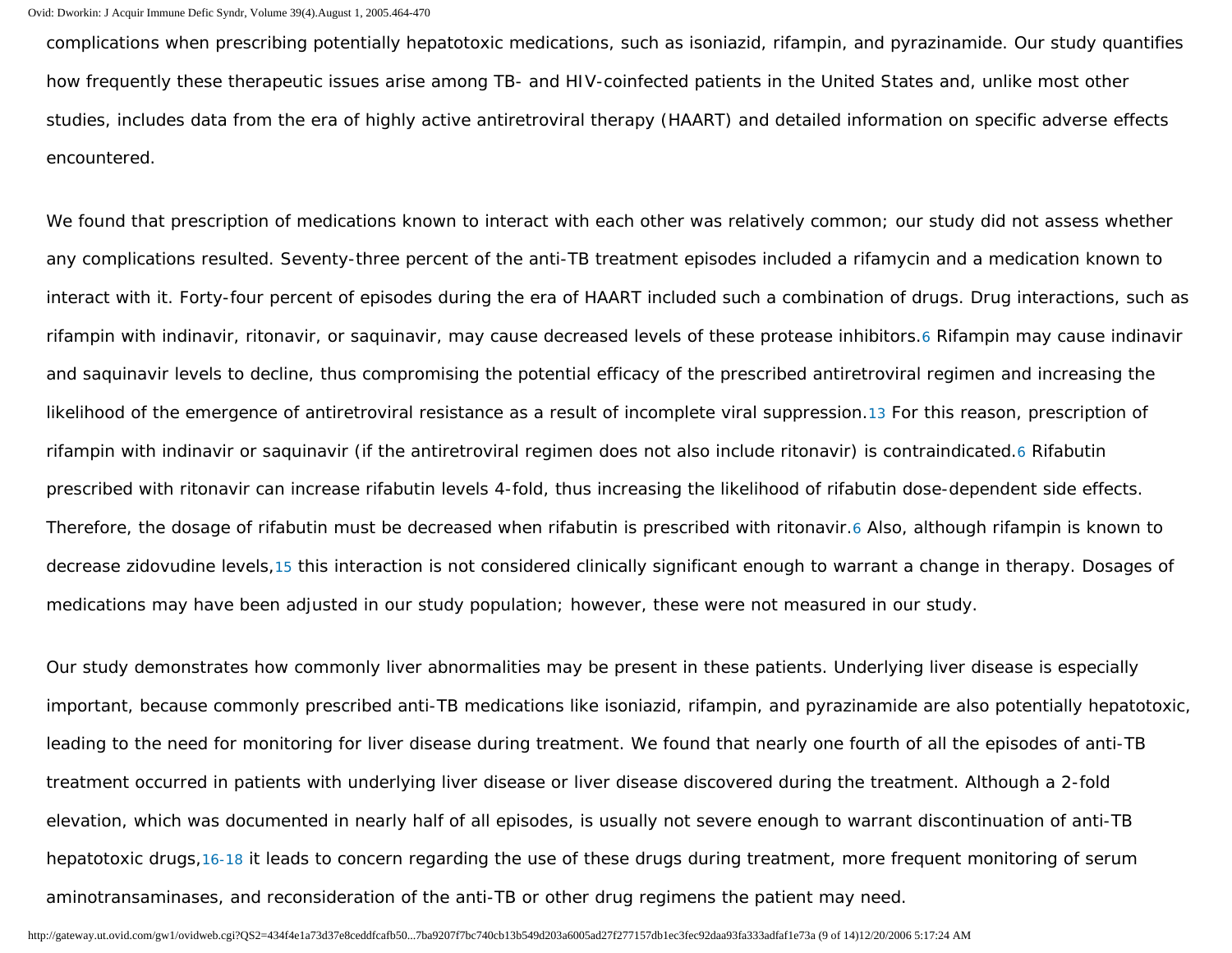complications when prescribing potentially hepatotoxic medications, such as isoniazid, rifampin, and pyrazinamide. Our study quantifies how frequently these therapeutic issues arise among TB- and HIV-coinfected patients in the United States and, unlike most other studies, includes data from the era of highly active antiretroviral therapy (HAART) and detailed information on specific adverse effects encountered.

<span id="page-8-0"></span>We found that prescription of medications known to interact with each other was relatively common; our study did not assess whether any complications resulted. Seventy-three percent of the anti-TB treatment episodes included a rifamycin and a medication known to interact with it. Forty-four percent of episodes during the era of HAART included such a combination of drugs. Drug interactions, such as rifampin with indinavir, ritonavir, or saquinavir, may cause decreased levels of these protease inhibitors.[6](#page-11-3) Rifampin may cause indinavir and saquinavir levels to decline, thus compromising the potential efficacy of the prescribed antiretroviral regimen and increasing the likelihood of the emergence of antiretroviral resistance as a result of incomplete viral suppression[.13](#page-12-1) For this reason, prescription of rifampin with indinavir or saquinavir (if the antiretroviral regimen does not also include ritonavir) is contraindicated.[6](#page-11-3) Rifabutin prescribed with ritonavir can increase rifabutin levels 4-fold, thus increasing the likelihood of rifabutin dose-dependent side effects. Therefore, the dosage of rifabutin must be decreased when rifabutin is prescribed with ritonavir[.6](#page-11-3) Also, although rifampin is known to decrease zidovudine levels,[15](#page-12-3) this interaction is not considered clinically significant enough to warrant a change in therapy. Dosages of medications may have been adjusted in our study population; however, these were not measured in our study.

<span id="page-8-1"></span>Our study demonstrates how commonly liver abnormalities may be present in these patients. Underlying liver disease is especially important, because commonly prescribed anti-TB medications like isoniazid, rifampin, and pyrazinamide are also potentially hepatotoxic, leading to the need for monitoring for liver disease during treatment. We found that nearly one fourth of all the episodes of anti-TB treatment occurred in patients with underlying liver disease or liver disease discovered during the treatment. Although a 2-fold elevation, which was documented in nearly half of all episodes, is usually not severe enough to warrant discontinuation of anti-TB hepatotoxic drugs,[16-18](#page-12-4) it leads to concern regarding the use of these drugs during treatment, more frequent monitoring of serum aminotransaminases, and reconsideration of the anti-TB or other drug regimens the patient may need.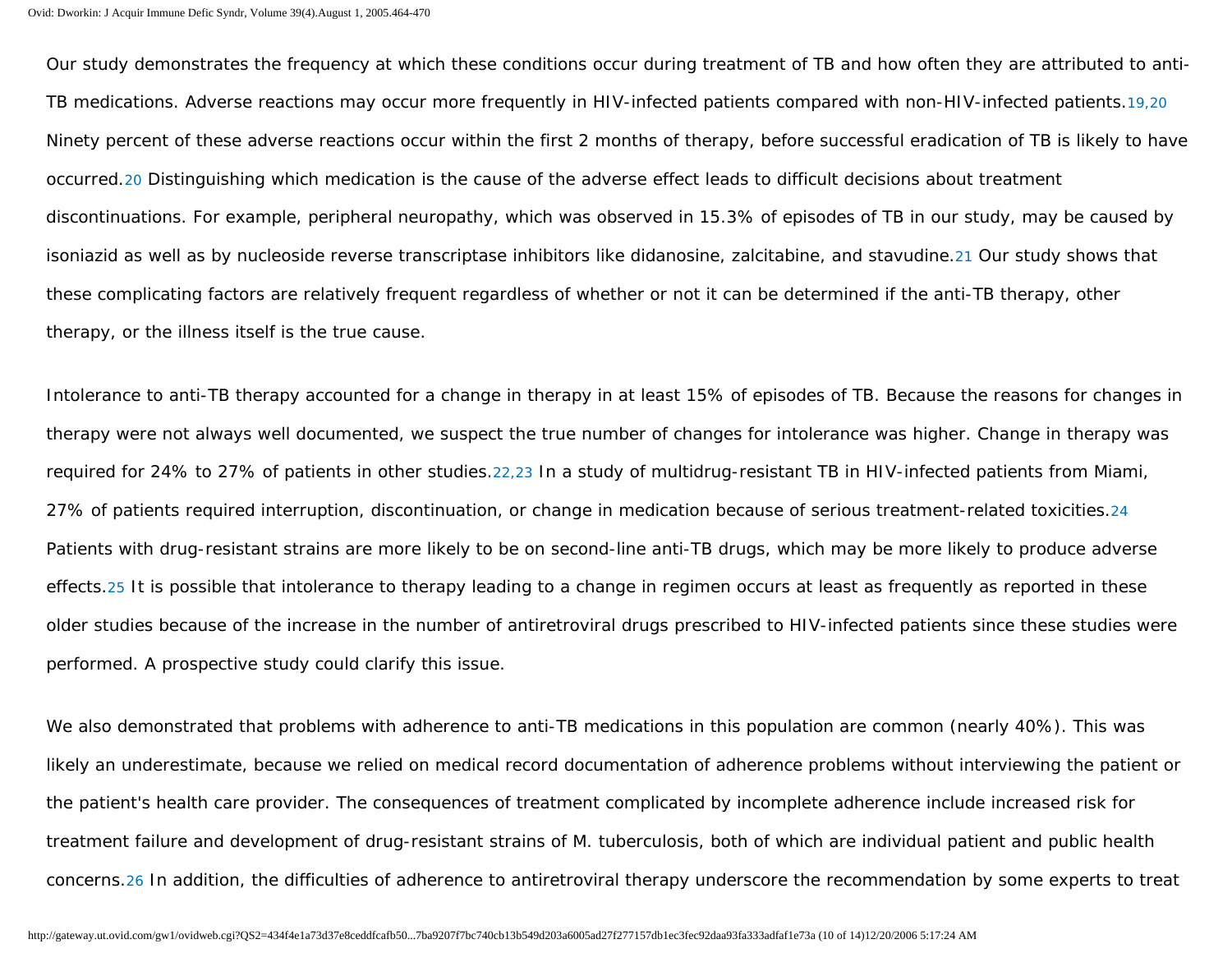<span id="page-9-0"></span>Our study demonstrates the frequency at which these conditions occur during treatment of TB and how often they are attributed to anti-TB medications. Adverse reactions may occur more frequently in HIV-infected patients compared with non-HIV-infected patients.[19,20](#page-12-5) Ninety percent of these adverse reactions occur within the first 2 months of therapy, before successful eradication of TB is likely to have occurred[.20](#page-12-6) Distinguishing which medication is the cause of the adverse effect leads to difficult decisions about treatment discontinuations. For example, peripheral neuropathy, which was observed in 15.3% of episodes of TB in our study, may be caused by isoniazid as well as by nucleoside reverse transcriptase inhibitors like didanosine, zalcitabine, and stavudine[.21](#page-12-7) Our study shows that these complicating factors are relatively frequent regardless of whether or not it can be determined if the anti-TB therapy, other therapy, or the illness itself is the true cause.

<span id="page-9-1"></span>Intolerance to anti-TB therapy accounted for a change in therapy in at least 15% of episodes of TB. Because the reasons for changes in therapy were not always well documented, we suspect the true number of changes for intolerance was higher. Change in therapy was required for 24% to 27% of patients in other studies.[22,23](#page-12-8) In a study of multidrug-resistant TB in HIV-infected patients from Miami, 27% of patients required interruption, discontinuation, or change in medication because of serious treatment-related toxicities[.24](#page-12-9) Patients with drug-resistant strains are more likely to be on second-line anti-TB drugs, which may be more likely to produce adverse effects[.25](#page-12-10) It is possible that intolerance to therapy leading to a change in regimen occurs at least as frequently as reported in these older studies because of the increase in the number of antiretroviral drugs prescribed to HIV-infected patients since these studies were performed. A prospective study could clarify this issue.

<span id="page-9-2"></span>We also demonstrated that problems with adherence to anti-TB medications in this population are common (nearly 40%). This was likely an underestimate, because we relied on medical record documentation of adherence problems without interviewing the patient or the patient's health care provider. The consequences of treatment complicated by incomplete adherence include increased risk for treatment failure and development of drug-resistant strains of *M. tuberculosis*, both of which are individual patient and public health concerns[.26](#page-12-11) In addition, the difficulties of adherence to antiretroviral therapy underscore the recommendation by some experts to treat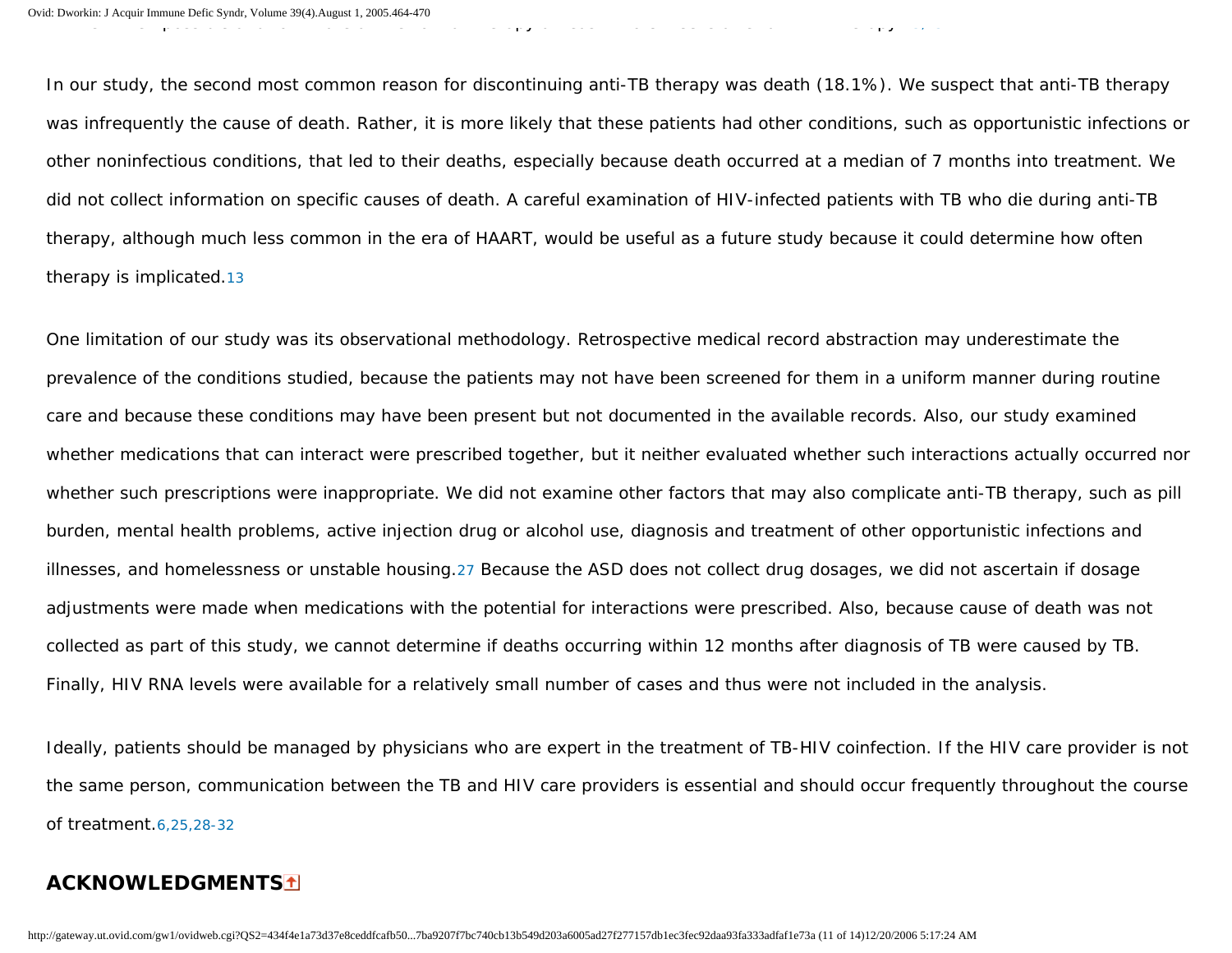In our study, the second most common reason for discontinuing anti-TB therapy was death (18.1%). We suspect that anti-TB therapy was infrequently the cause of death. Rather, it is more likely that these patients had other conditions, such as opportunistic infections or other noninfectious conditions, that led to their deaths, especially because death occurred at a median of 7 months into treatment. We did not collect information on specific causes of death. A careful examination of HIV-infected patients with TB who die during anti-TB therapy, although much less common in the era of HAART, would be useful as a future study because it could determine how often therapy is implicated.[13](#page-12-1)

<span id="page-10-1"></span>One limitation of our study was its observational methodology. Retrospective medical record abstraction may underestimate the prevalence of the conditions studied, because the patients may not have been screened for them in a uniform manner during routine care and because these conditions may have been present but not documented in the available records. Also, our study examined whether medications that can interact were prescribed together, but it neither evaluated whether such interactions actually occurred nor whether such prescriptions were inappropriate. We did not examine other factors that may also complicate anti-TB therapy, such as pill burden, mental health problems, active injection drug or alcohol use, diagnosis and treatment of other opportunistic infections and illnesses, and homelessness or unstable housing.[27](#page-13-0) Because the ASD does not collect drug dosages, we did not ascertain if dosage adjustments were made when medications with the potential for interactions were prescribed. Also, because cause of death was not collected as part of this study, we cannot determine if deaths occurring within 12 months after diagnosis of TB were caused by TB. Finally, HIV RNA levels were available for a relatively small number of cases and thus were not included in the analysis.

<span id="page-10-2"></span>Ideally, patients should be managed by physicians who are expert in the treatment of TB-HIV coinfection. If the HIV care provider is not the same person, communication between the TB and HIV care providers is essential and should occur frequently throughout the course of treatment.[6,25,28-32](#page-11-3)

### <span id="page-10-0"></span>**ACKNOWLEDGMENT[S](#page-0-0)**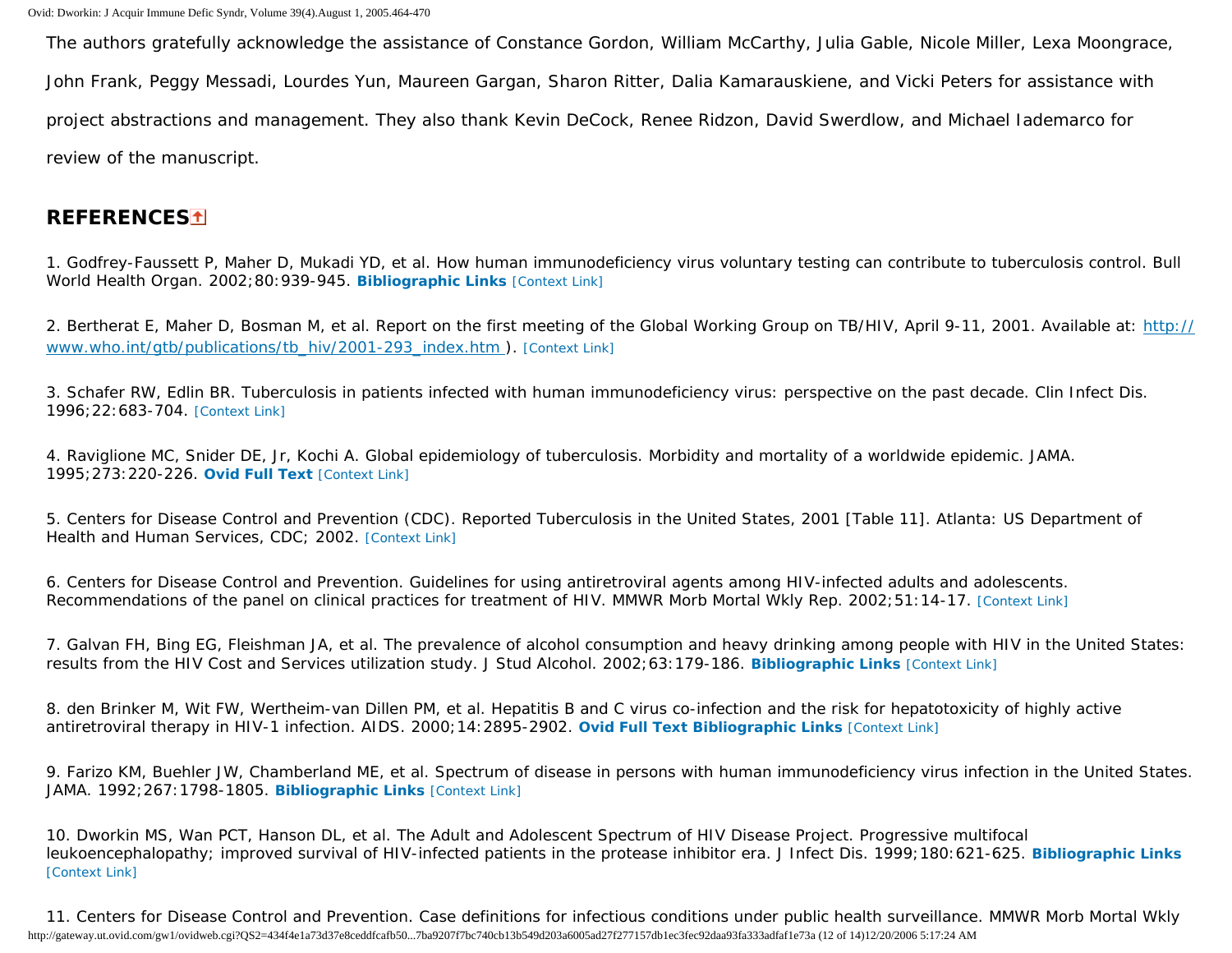*The authors gratefully acknowledge the assistance of Constance Gordon, William McCarthy, Julia Gable, Nicole Miller, Lexa Moongrace, John Frank, Peggy Messadi, Lourdes Yun, Maureen Gargan, Sharon Ritter, Dalia Kamarauskiene, and Vicki Peters for assistance with project abstractions and management. They also thank Kevin DeCock, Renee Ridzon, David Swerdlow, and Michael Iademarco for review of the manuscript.*

# <span id="page-11-1"></span><span id="page-11-0"></span>**REFERENCE[S](#page-0-0)**

1. Godfrey-Faussett P, Maher D, Mukadi YD, et al. How human immunodeficiency virus voluntary testing can contribute to tuberculosis control. *Bull World Health Organ*. 2002;80:939-945. **[Bibliographic Links](http://gateway.ut.ovid.com/gw1/ovidweb.cgi?Link+Set+Ref=00126334-200508010-00016|00002688_2002_80_939_faussett_immunodeficiency_%7c00126334-200508010-00016%23xpointer%28id%28R1-16%29%29%7c60%7chttp%3a%2f%2facs.ovid.com%2facs%2f.14038a58de48ffa86f4ee5c84b99ffb3634b4b40918581081964493cf03a9948ecbddf0655fc0acf8b.gif%7covftdb%7c&P=41&S=IDNJHKOADHEKAK00D&WebLinkReturn=Full+Text%3dL%7cS.sh.15.16%7c0%7c00126334-200508010-00016)** [\[Context Link\]](#page-1-1)

2. Bertherat E, Maher D, Bosman M, et al. Report on the first meeting of the Global Working Group on TB/HIV, April 9-11, 2001. Available at: [http://](http://www.who.int/gtb/publications/tb_hiv/2001-293_index.htm) www.who.int/qtb/publications/tb\_hiv/2001-293\_index.htm ). [\[Context Link\]](#page-1-1)

<span id="page-11-2"></span>3. Schafer RW, Edlin BR. Tuberculosis in patients infected with human immunodeficiency virus: perspective on the past decade. *Clin Infect Dis*. 1996;22:683-704. [\[Context Link\]](#page-1-1)

4. Raviglione MC, Snider DE, Jr, Kochi A. Global epidemiology of tuberculosis. Morbidity and mortality of a worldwide epidemic. *JAMA*. 1995;273:220-226. **[Ovid Full Text](http://gateway.ut.ovid.com/gw1/ovidweb.cgi?Link+Set+Ref=00126334-200508010-00016|00005407_1995_273_220_raviglione_epidemiology_%7c00126334-200508010-00016%23xpointer%28id%28R4-16%29%29%7c10%7chttp%3a%2f%2facs.ovid.com%2facs%2f.5c103e04ef61e5550ce593f7adca05af0334ad3d6d38a1f400230673b342cfb54bea84c4ae6dba622ed2fc4eb4096d3967.gif%7covftdb%7c00005407-199501180-00025&P=44&S=IDNJHKOADHEKAK00D&WebLinkReturn=Full+Text%3dL%7cS.sh.15.16%7c0%7c00126334-200508010-00016)** [\[Context Link\]](#page-1-1)

5. Centers for Disease Control and Prevention (CDC). *Reported Tuberculosis in the United States, 2001* [Table 11]. Atlanta: US Department of Health and Human Services, CDC; 2002. [\[Context Link\]](#page-1-1)

<span id="page-11-3"></span>6. Centers for Disease Control and Prevention. Guidelines for using antiretroviral agents among HIV-infected adults and adolescents. Recommendations of the panel on clinical practices for treatment of HIV. *MMWR Morb Mortal Wkly Rep*. 2002;51:14-17. [\[Context Link\]](#page-1-1)

<span id="page-11-4"></span>7. Galvan FH, Bing EG, Fleishman JA, et al. The prevalence of alcohol consumption and heavy drinking among people with HIV in the United States: results from the HIV Cost and Services utilization study. *J Stud Alcohol*. 2002;63:179-186. **[Bibliographic Links](http://gateway.ut.ovid.com/gw1/ovidweb.cgi?Link+Set+Ref=00126334-200508010-00016|00005342_2002_63_179_galvan_consumption_%7c00126334-200508010-00016%23xpointer%28id%28R7-16%29%29%7c60%7chttp%3a%2f%2facs.ovid.com%2facs%2f.14038a58de48ffa86f4ee5c84b99ffb3634b4b40918581081964493cf03a9948ecbddf0655fc0acf8b.gif%7covftdb%7c&P=47&S=IDNJHKOADHEKAK00D&WebLinkReturn=Full+Text%3dL%7cS.sh.15.16%7c0%7c00126334-200508010-00016)** [\[Context Link\]](#page-1-1)

<span id="page-11-5"></span>8. den Brinker M, Wit FW, Wertheim-van Dillen PM, et al. Hepatitis B and C virus co-infection and the risk for hepatotoxicity of highly active antiretroviral therapy in HIV-1 infection. *AIDS*. 2000;14:2895-2902. **[Ovid Full Text](http://gateway.ut.ovid.com/gw1/ovidweb.cgi?Link+Set+Ref=00126334-200508010-00016|00002030_2000_14_2895_brinker_hepatotoxicity_%7c00126334-200508010-00016%23xpointer%28id%28R8-16%29%29%7c10%7chttp%3a%2f%2facs.ovid.com%2facs%2f.5c103e04ef61e5550ce593f7adca05af0334ad3d6d38a1f400230673b342cfb54bea84c4ae6dba622ed2fc4eb4096d3967.gif%7covftdb%7c00002030-200012220-00011&P=48&S=IDNJHKOADHEKAK00D&WebLinkReturn=Full+Text%3dL%7cS.sh.15.16%7c0%7c00126334-200508010-00016) [Bibliographic Links](http://gateway.ut.ovid.com/gw1/ovidweb.cgi?Link+Set+Ref=00126334-200508010-00016|00002030_2000_14_2895_brinker_hepatotoxicity_%7c00126334-200508010-00016%23xpointer%28id%28R8-16%29%29%7c60%7chttp%3a%2f%2facs.ovid.com%2facs%2f.14038a58de48ffa86f4ee5c84b99ffb3634b4b40918581081964493cf03a9948ecbddf0655fc0acf8b.gif%7covftdb%7c00002030-200012220-00011&P=48&S=IDNJHKOADHEKAK00D&WebLinkReturn=Full+Text%3dL%7cS.sh.15.16%7c0%7c00126334-200508010-00016)** [\[Context Link\]](#page-1-1)

<span id="page-11-6"></span>9. Farizo KM, Buehler JW, Chamberland ME, et al. Spectrum of disease in persons with human immunodeficiency virus infection in the United States. *JAMA*. 1992;267:1798-1805. **[Bibliographic Links](http://gateway.ut.ovid.com/gw1/ovidweb.cgi?Link+Set+Ref=00126334-200508010-00016|00005407_1992_267_1798_farizo_immunodeficiency_%7c00126334-200508010-00016%23xpointer%28id%28R9-16%29%29%7c60%7chttp%3a%2f%2facs.ovid.com%2facs%2f.14038a58de48ffa86f4ee5c84b99ffb3634b4b40918581081964493cf03a9948ecbddf0655fc0acf8b.gif%7covftdb%7c&P=49&S=IDNJHKOADHEKAK00D&WebLinkReturn=Full+Text%3dL%7cS.sh.15.16%7c0%7c00126334-200508010-00016)** [\[Context Link\]](#page-2-1)

10. Dworkin MS, Wan PCT, Hanson DL, et al. The Adult and Adolescent Spectrum of HIV Disease Project. Progressive multifocal leukoencephalopathy; improved survival of HIV-infected patients in the protease inhibitor era. *J Infect Dis*. 1999;180:621-625. **[Bibliographic Links](http://gateway.ut.ovid.com/gw1/ovidweb.cgi?Link+Set+Ref=00126334-200508010-00016|00004888_1999_180_621_dworkin_leukoencephalopathy_%7c00126334-200508010-00016%23xpointer%28id%28R10-16%29%29%7c60%7chttp%3a%2f%2facs.ovid.com%2facs%2f.14038a58de48ffa86f4ee5c84b99ffb3634b4b40918581081964493cf03a9948ecbddf0655fc0acf8b.gif%7covftdb%7c&P=50&S=IDNJHKOADHEKAK00D&WebLinkReturn=Full+Text%3dL%7cS.sh.15.16%7c0%7c00126334-200508010-00016)** [\[Context Link\]](#page-2-1)

<span id="page-11-7"></span>11. Centers for Disease Control and Prevention. Case definitions for infectious conditions under public health surveillance. *MMWR Morb Mortal Wkly*  http://gateway.ut.ovid.com/gw1/ovidweb.cgi?QS2=434f4e1a73d37e8ceddfcafb50...7ba9207f7bc740cb13b549d203a6005ad27f277157db1ec3fec92daa93fa333adfaf1e73a (12 of 14)12/20/2006 5:17:24 AM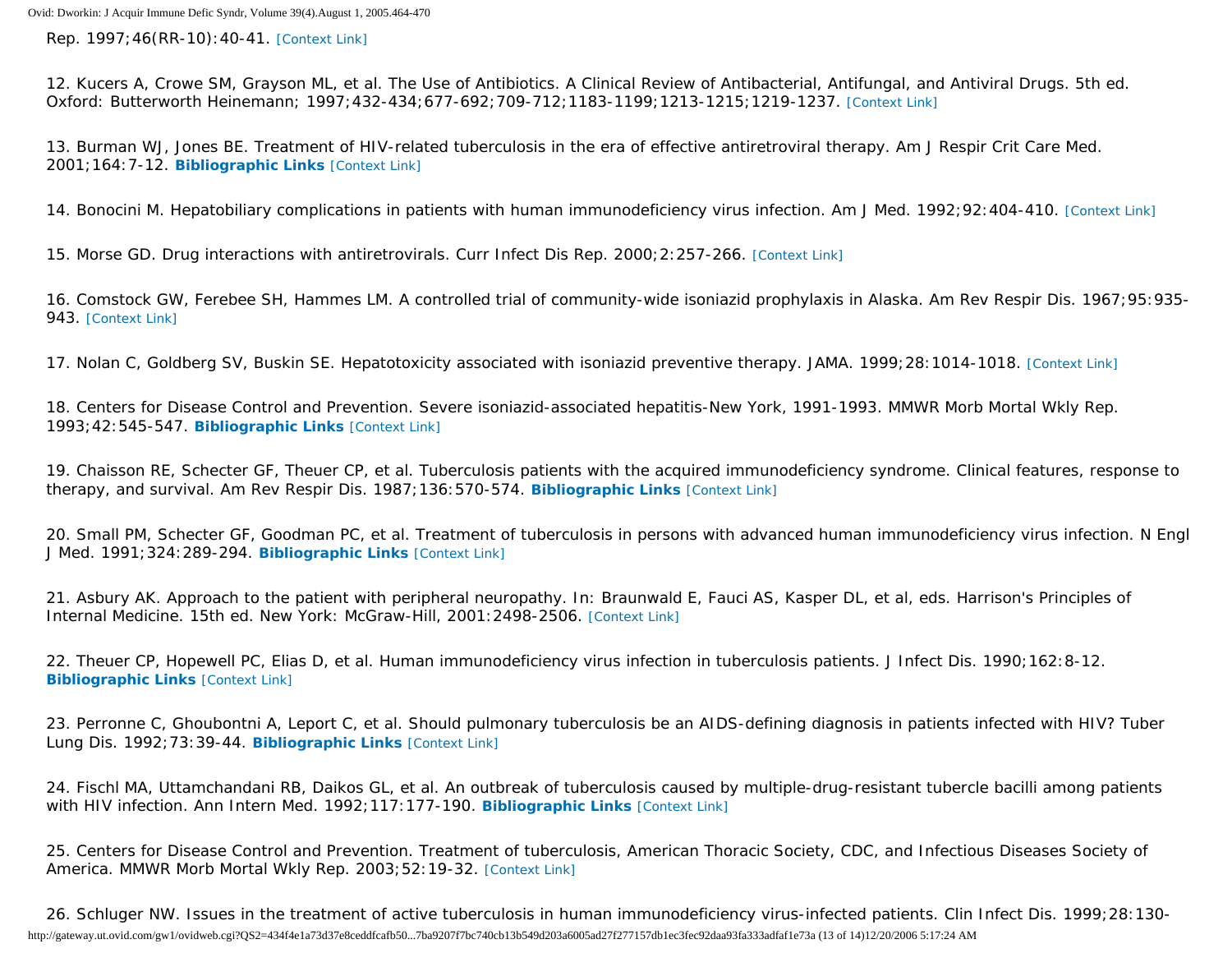Ovid: Dworkin: J Acquir Immune Defic Syndr, Volume 39(4).August 1, 2005.464-470

*Rep*. 1997;46(RR-10):40-41. [\[Context Link\]](#page-3-1)

<span id="page-12-0"></span>12. Kucers A, Crowe SM, Grayson ML, et al. *The Use of Antibiotics. A Clinical Review of Antibacterial, Antifungal, and Antiviral Drugs*. 5th ed. Oxford: Butterworth Heinemann; 1997;432-434;677-692;709-712;1183-1199;1213-1215;1219-1237. [\[Context Link\]](#page-7-2)

<span id="page-12-1"></span>13. Burman WJ, Jones BE. Treatment of HIV-related tuberculosis in the era of effective antiretroviral therapy. *Am J Respir Crit Care Med*. 2001;164:7-12. **[Bibliographic Links](http://gateway.ut.ovid.com/gw1/ovidweb.cgi?Link+Set+Ref=00126334-200508010-00016|00019521_2001_164_7_burman_antiretroviral_%7c00126334-200508010-00016%23xpointer%28id%28R13-16%29%29%7c60%7chttp%3a%2f%2facs.ovid.com%2facs%2f.14038a58de48ffa86f4ee5c84b99ffb3634b4b40918581081964493cf03a9948ecbddf0655fc0acf8b.gif%7covftdb%7c&P=53&S=IDNJHKOADHEKAK00D&WebLinkReturn=Full+Text%3dL%7cS.sh.15.16%7c0%7c00126334-200508010-00016)** [\[Context Link\]](#page-7-3)

<span id="page-12-2"></span>14. Bonocini M. Hepatobiliary complications in patients with human immunodeficiency virus infection. *Am J Med*. 1992;92:404-410. [\[Context Link\]](#page-7-3)

<span id="page-12-3"></span>15. Morse GD. Drug interactions with antiretrovirals. *Curr Infect Dis Rep*. 2000;2:257-266. [\[Context Link\]](#page-8-0)

<span id="page-12-4"></span>16. Comstock GW, Ferebee SH, Hammes LM. A controlled trial of community-wide isoniazid prophylaxis in Alaska. *Am Rev Respir Dis*. 1967;95:935- 943. [\[Context Link\]](#page-8-1)

17. Nolan C, Goldberg SV, Buskin SE. Hepatotoxicity associated with isoniazid preventive therapy. *JAMA*. 1999;28:1014-1018. [\[Context Link\]](#page-8-1)

18. Centers for Disease Control and Prevention. Severe isoniazid-associated hepatitis-New York, 1991-1993. *MMWR Morb Mortal Wkly Rep*. 1993;42:545-547. **[Bibliographic Links](http://gateway.ut.ovid.com/gw1/ovidweb.cgi?Link+Set+Ref=00126334-200508010-00016|00005914_1993_42_545_anonymous_associated_%7c00126334-200508010-00016%23xpointer%28id%28R18-16%29%29%7c60%7chttp%3a%2f%2facs.ovid.com%2facs%2f.14038a58de48ffa86f4ee5c84b99ffb3634b4b40918581081964493cf03a9948ecbddf0655fc0acf8b.gif%7covftdb%7c&P=58&S=IDNJHKOADHEKAK00D&WebLinkReturn=Full+Text%3dL%7cS.sh.15.16%7c0%7c00126334-200508010-00016)** [\[Context Link\]](#page-8-1)

<span id="page-12-5"></span>19. Chaisson RE, Schecter GF, Theuer CP, et al. Tuberculosis patients with the acquired immunodeficiency syndrome. Clinical features, response to therapy, and survival. *Am Rev Respir Dis*. 1987;136:570-574. **[Bibliographic Links](http://gateway.ut.ovid.com/gw1/ovidweb.cgi?Link+Set+Ref=00126334-200508010-00016|00000488_1987_136_570_chaisson_immunodeficiency_%7c00126334-200508010-00016%23xpointer%28id%28R19-16%29%29%7c60%7chttp%3a%2f%2facs.ovid.com%2facs%2f.14038a58de48ffa86f4ee5c84b99ffb3634b4b40918581081964493cf03a9948ecbddf0655fc0acf8b.gif%7covftdb%7c&P=59&S=IDNJHKOADHEKAK00D&WebLinkReturn=Full+Text%3dL%7cS.sh.15.16%7c0%7c00126334-200508010-00016)** [\[Context Link\]](#page-9-0)

<span id="page-12-6"></span>20. Small PM, Schecter GF, Goodman PC, et al. Treatment of tuberculosis in persons with advanced human immunodeficiency virus infection. *N Engl J Med*. 1991;324:289-294. **[Bibliographic Links](http://gateway.ut.ovid.com/gw1/ovidweb.cgi?Link+Set+Ref=00126334-200508010-00016|00006024_1991_324_289_small_immunodeficiency_%7c00126334-200508010-00016%23xpointer%28id%28R20-16%29%29%7c60%7chttp%3a%2f%2facs.ovid.com%2facs%2f.14038a58de48ffa86f4ee5c84b99ffb3634b4b40918581081964493cf03a9948ecbddf0655fc0acf8b.gif%7covftdb%7c&P=60&S=IDNJHKOADHEKAK00D&WebLinkReturn=Full+Text%3dL%7cS.sh.15.16%7c0%7c00126334-200508010-00016)** [\[Context Link\]](#page-9-0)

<span id="page-12-7"></span>21. Asbury AK. Approach to the patient with peripheral neuropathy. In: Braunwald E, Fauci AS, Kasper DL, et al, eds. *Harrison's Principles of Internal Medicine*. 15th ed. New York: McGraw-Hill, 2001:2498-2506. [\[Context Link\]](#page-9-0)

<span id="page-12-8"></span>22. Theuer CP, Hopewell PC, Elias D, et al. Human immunodeficiency virus infection in tuberculosis patients. *J Infect Dis*. 1990;162:8-12. **[Bibliographic Links](http://gateway.ut.ovid.com/gw1/ovidweb.cgi?Link+Set+Ref=00126334-200508010-00016|00004888_1990_162_8_theuer_immunodeficiency_%7c00126334-200508010-00016%23xpointer%28id%28R22-16%29%29%7c60%7chttp%3a%2f%2facs.ovid.com%2facs%2f.14038a58de48ffa86f4ee5c84b99ffb3634b4b40918581081964493cf03a9948ecbddf0655fc0acf8b.gif%7covftdb%7c&P=62&S=IDNJHKOADHEKAK00D&WebLinkReturn=Full+Text%3dL%7cS.sh.15.16%7c0%7c00126334-200508010-00016)** [\[Context Link\]](#page-9-1)

23. Perronne C, Ghoubontni A, Leport C, et al. Should pulmonary tuberculosis be an AIDS-defining diagnosis in patients infected with HIV? *Tuber Lung Dis*. 1992;73:39-44. **[Bibliographic Links](http://gateway.ut.ovid.com/gw1/ovidweb.cgi?Link+Set+Ref=00126334-200508010-00016|00008387_1992_73_39_perronne_tuberculosis_%7c00126334-200508010-00016%23xpointer%28id%28R23-16%29%29%7c60%7chttp%3a%2f%2facs.ovid.com%2facs%2f.14038a58de48ffa86f4ee5c84b99ffb3634b4b40918581081964493cf03a9948ecbddf0655fc0acf8b.gif%7covftdb%7c&P=63&S=IDNJHKOADHEKAK00D&WebLinkReturn=Full+Text%3dL%7cS.sh.15.16%7c0%7c00126334-200508010-00016)** [\[Context Link\]](#page-9-1)

<span id="page-12-9"></span>24. Fischl MA, Uttamchandani RB, Daikos GL, et al. An outbreak of tuberculosis caused by multiple-drug-resistant tubercle bacilli among patients with HIV infection. *Ann Intern Med*. 1992;117:177-190. **[Bibliographic Links](http://gateway.ut.ovid.com/gw1/ovidweb.cgi?Link+Set+Ref=00126334-200508010-00016|00000605_1992_117_177_fischl_tuberculosis_%7c00126334-200508010-00016%23xpointer%28id%28R24-16%29%29%7c60%7chttp%3a%2f%2facs.ovid.com%2facs%2f.14038a58de48ffa86f4ee5c84b99ffb3634b4b40918581081964493cf03a9948ecbddf0655fc0acf8b.gif%7covftdb%7c&P=64&S=IDNJHKOADHEKAK00D&WebLinkReturn=Full+Text%3dL%7cS.sh.15.16%7c0%7c00126334-200508010-00016)** [\[Context Link\]](#page-9-1)

<span id="page-12-10"></span>25. Centers for Disease Control and Prevention. Treatment of tuberculosis, American Thoracic Society, CDC, and Infectious Diseases Society of America. *MMWR Morb Mortal Wkly Rep*. 2003;52:19-32. [\[Context Link\]](#page-9-1)

<span id="page-12-11"></span>26. Schluger NW. Issues in the treatment of active tuberculosis in human immunodeficiency virus-infected patients. *Clin Infect Dis*. 1999;28:130 http://gateway.ut.ovid.com/gw1/ovidweb.cgi?QS2=434f4e1a73d37e8ceddfcafb50...7ba9207f7bc740cb13b549d203a6005ad27f277157db1ec3fec92daa93fa333adfaf1e73a (13 of 14)12/20/2006 5:17:24 AM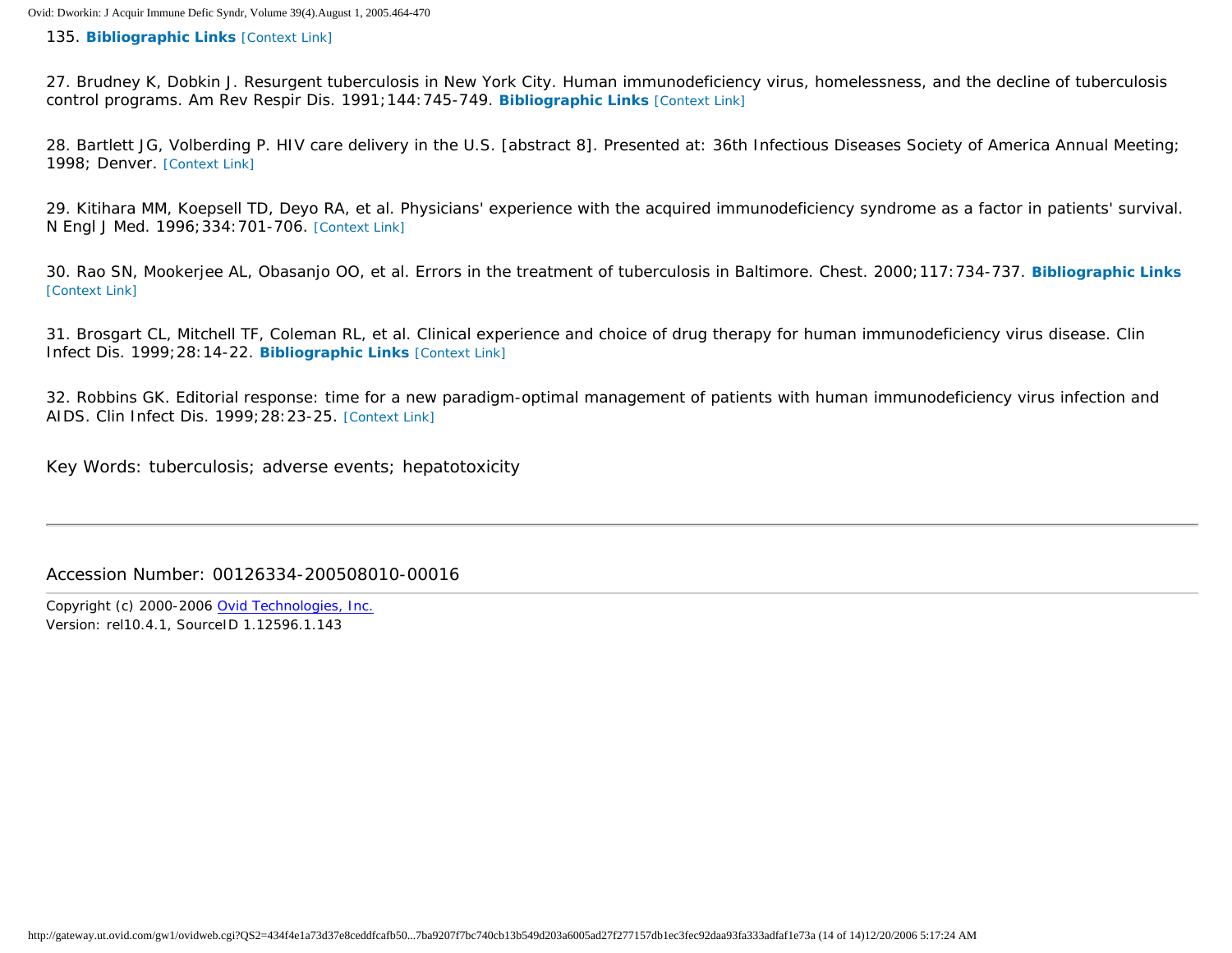135. **[Bibliographic Links](http://gateway.ut.ovid.com/gw1/ovidweb.cgi?Link+Set+Ref=00126334-200508010-00016|00001691_1999_28_130_schluger_immunodeficiency_%7c00126334-200508010-00016%23xpointer%28id%28R26-16%29%29%7c60%7chttp%3a%2f%2facs.ovid.com%2facs%2f.14038a58de48ffa86f4ee5c84b99ffb3634b4b40918581081964493cf03a9948ecbddf0655fc0acf8b.gif%7covftdb%7c&P=66&S=IDNJHKOADHEKAK00D&WebLinkReturn=Full+Text%3dL%7cS.sh.15.16%7c0%7c00126334-200508010-00016)** [\[Context Link\]](#page-9-2)

<span id="page-13-0"></span>27. Brudney K, Dobkin J. Resurgent tuberculosis in New York City. Human immunodeficiency virus, homelessness, and the decline of tuberculosis control programs. *Am Rev Respir Dis*. 1991;144:745-749. **[Bibliographic Links](http://gateway.ut.ovid.com/gw1/ovidweb.cgi?Link+Set+Ref=00126334-200508010-00016|00000488_1991_144_745_brudney_immunodeficiency_%7c00126334-200508010-00016%23xpointer%28id%28R27-16%29%29%7c60%7chttp%3a%2f%2facs.ovid.com%2facs%2f.14038a58de48ffa86f4ee5c84b99ffb3634b4b40918581081964493cf03a9948ecbddf0655fc0acf8b.gif%7covftdb%7c&P=67&S=IDNJHKOADHEKAK00D&WebLinkReturn=Full+Text%3dL%7cS.sh.15.16%7c0%7c00126334-200508010-00016)** [\[Context Link\]](#page-10-1)

28. Bartlett JG, Volberding P. HIV care delivery in the U.S. [abstract 8]. Presented at: 36th Infectious Diseases Society of America Annual Meeting; 1998; Denver. [\[Context Link\]](#page-10-2)

29. Kitihara MM, Koepsell TD, Deyo RA, et al. Physicians' experience with the acquired immunodeficiency syndrome as a factor in patients' survival. *N Engl J Med*. 1996;334:701-706. [\[Context Link\]](#page-10-2)

30. Rao SN, Mookerjee AL, Obasanjo OO, et al. Errors in the treatment of tuberculosis in Baltimore. *Chest*. 2000;117:734-737. **[Bibliographic Links](http://gateway.ut.ovid.com/gw1/ovidweb.cgi?Link+Set+Ref=00126334-200508010-00016|00002953_2000_117_734_rao_tuberculosis_%7c00126334-200508010-00016%23xpointer%28id%28R30-16%29%29%7c60%7chttp%3a%2f%2facs.ovid.com%2facs%2f.14038a58de48ffa86f4ee5c84b99ffb3634b4b40918581081964493cf03a9948ecbddf0655fc0acf8b.gif%7covftdb%7c00002953-200003000-00022&P=70&S=IDNJHKOADHEKAK00D&WebLinkReturn=Full+Text%3dL%7cS.sh.15.16%7c0%7c00126334-200508010-00016)** [\[Context Link\]](#page-10-2)

31. Brosgart CL, Mitchell TF, Coleman RL, et al. Clinical experience and choice of drug therapy for human immunodeficiency virus disease. *Clin Infect Dis*. 1999;28:14-22. **[Bibliographic Links](http://gateway.ut.ovid.com/gw1/ovidweb.cgi?Link+Set+Ref=00126334-200508010-00016|00001691_1999_28_14_brosgart_immunodeficiency_%7c00126334-200508010-00016%23xpointer%28id%28R31-16%29%29%7c60%7chttp%3a%2f%2facs.ovid.com%2facs%2f.14038a58de48ffa86f4ee5c84b99ffb3634b4b40918581081964493cf03a9948ecbddf0655fc0acf8b.gif%7covftdb%7c&P=71&S=IDNJHKOADHEKAK00D&WebLinkReturn=Full+Text%3dL%7cS.sh.15.16%7c0%7c00126334-200508010-00016)** [\[Context Link\]](#page-10-2)

32. Robbins GK. Editorial response: time for a new paradigm-optimal management of patients with human immunodeficiency virus infection and AIDS. *Clin Infect Dis*. 1999;28:23-25. [\[Context Link\]](#page-10-2)

Key Words: tuberculosis; adverse events; hepatotoxicity

*Accession Number: 00126334-200508010-00016*

Copyright (c) 2000-2006 [Ovid Technologies, Inc.](http://www.ovid.com/) Version: rel10.4.1, SourceID 1.12596.1.143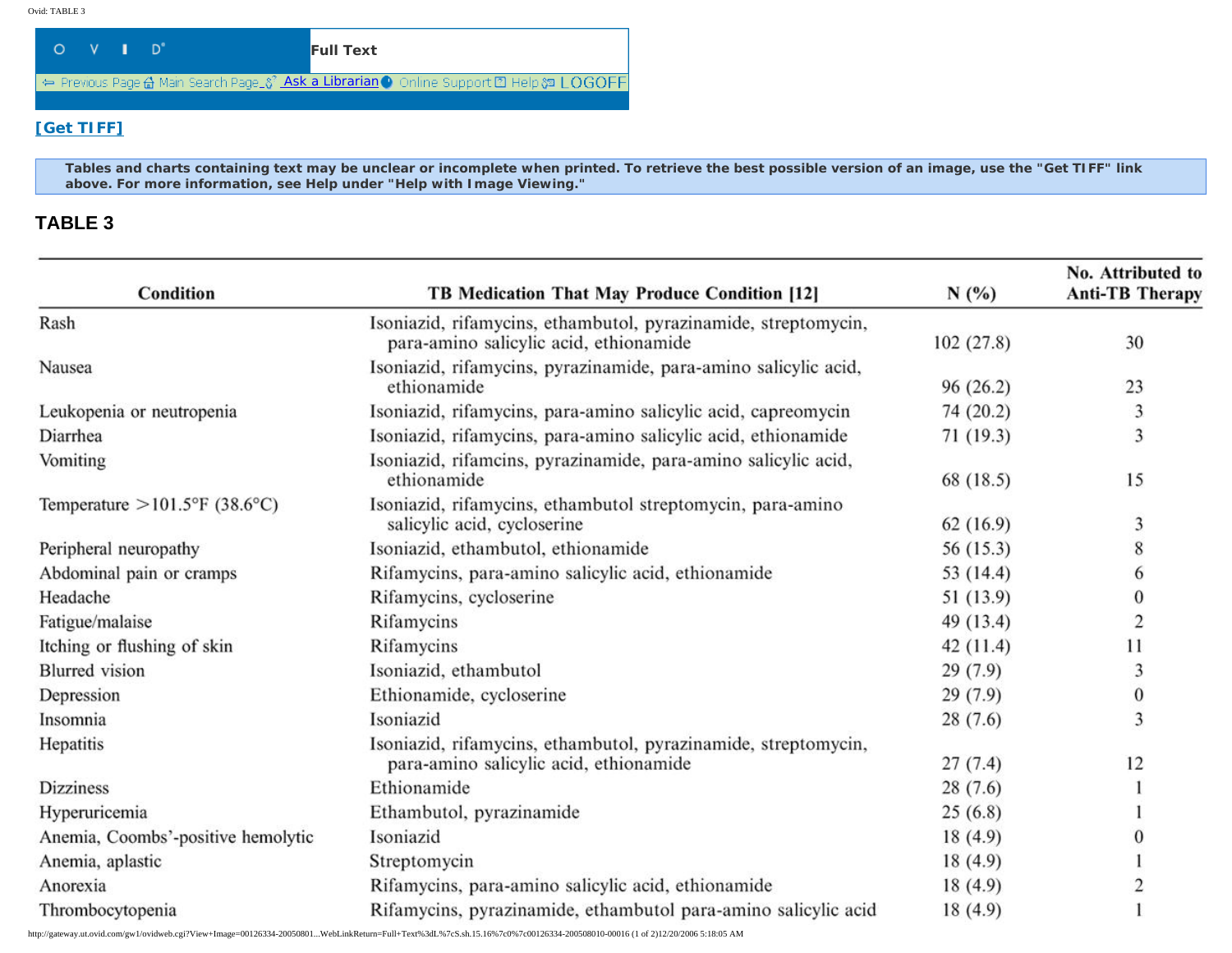

### **[\[Get TIFF\]](http://gateway.ut.ovid.com/gw1/ovidweb.cgi?S=IDNJHKOADHEKAK00D&Graphic=00126334-200508010-00016%7cTT3%7cL%7ctiff)**

**Tables and charts containing text may be unclear or incomplete when printed. To retrieve the best possible version of an image, use the "Get TIFF" link above. For more information, see Help under "Help with Image Viewing."**

# **TABLE 3**

| Condition                          | TB Medication That May Produce Condition [12]                                                            | N(%)      | No. Attributed to<br><b>Anti-TB Therapy</b> |
|------------------------------------|----------------------------------------------------------------------------------------------------------|-----------|---------------------------------------------|
| Rash                               | Isoniazid, rifamycins, ethambutol, pyrazinamide, streptomycin,<br>para-amino salicylic acid, ethionamide | 102(27.8) | 30                                          |
| Nausea                             | Isoniazid, rifamycins, pyrazinamide, para-amino salicylic acid,<br>ethionamide                           | 96(26.2)  | 23                                          |
| Leukopenia or neutropenia          | Isoniazid, rifamycins, para-amino salicylic acid, capreomycin                                            | 74 (20.2) | 3                                           |
| Diarrhea                           | Isoniazid, rifamycins, para-amino salicylic acid, ethionamide                                            | 71 (19.3) | 3                                           |
| Vomiting                           | Isoniazid, rifamcins, pyrazinamide, para-amino salicylic acid,<br>ethionamide                            | 68 (18.5) | 15                                          |
| Temperature $>101.5$ °F (38.6°C)   | Isoniazid, rifamycins, ethambutol streptomycin, para-amino<br>salicylic acid, cycloserine                | 62(16.9)  | 3                                           |
| Peripheral neuropathy              | Isoniazid, ethambutol, ethionamide                                                                       | 56 (15.3) | 8                                           |
| Abdominal pain or cramps           | Rifamycins, para-amino salicylic acid, ethionamide                                                       | 53 (14.4) | 6                                           |
| Headache                           | Rifamycins, cycloserine                                                                                  | 51 (13.9) | $\boldsymbol{0}$                            |
| Fatigue/malaise                    | Rifamycins                                                                                               | 49 (13.4) | $\overline{2}$                              |
| Itching or flushing of skin        | Rifamycins                                                                                               | 42(11.4)  | 11                                          |
| <b>Blurred</b> vision              | Isoniazid, ethambutol                                                                                    | 29(7.9)   | 3                                           |
| Depression                         | Ethionamide, cycloserine                                                                                 | 29(7.9)   | $\boldsymbol{0}$                            |
| Insomnia                           | Isoniazid                                                                                                | 28(7.6)   | 3                                           |
| Hepatitis                          | Isoniazid, rifamycins, ethambutol, pyrazinamide, streptomycin,<br>para-amino salicylic acid, ethionamide | 27(7.4)   | 12                                          |
| <b>Dizziness</b>                   | Ethionamide                                                                                              | 28(7.6)   |                                             |
| Hyperuricemia                      | Ethambutol, pyrazinamide                                                                                 | 25(6.8)   |                                             |
| Anemia, Coombs'-positive hemolytic | Isoniazid                                                                                                | 18(4.9)   | 0                                           |
| Anemia, aplastic                   | Streptomycin                                                                                             | 18(4.9)   |                                             |
| Anorexia                           | Rifamycins, para-amino salicylic acid, ethionamide                                                       | 18(4.9)   |                                             |
| Thrombocytopenia                   | Rifamycins, pyrazinamide, ethambutol para-amino salicylic acid                                           | 18(4.9)   |                                             |

http://gateway.ut.ovid.com/gw1/ovidweb.cgi?View+Image=00126334-20050801...WebLinkReturn=Full+Text%3dL%7cS.sh.15.16%7c0%7c00126334-200508010-00016 (1 of 2)12/20/2006 5:18:05 AM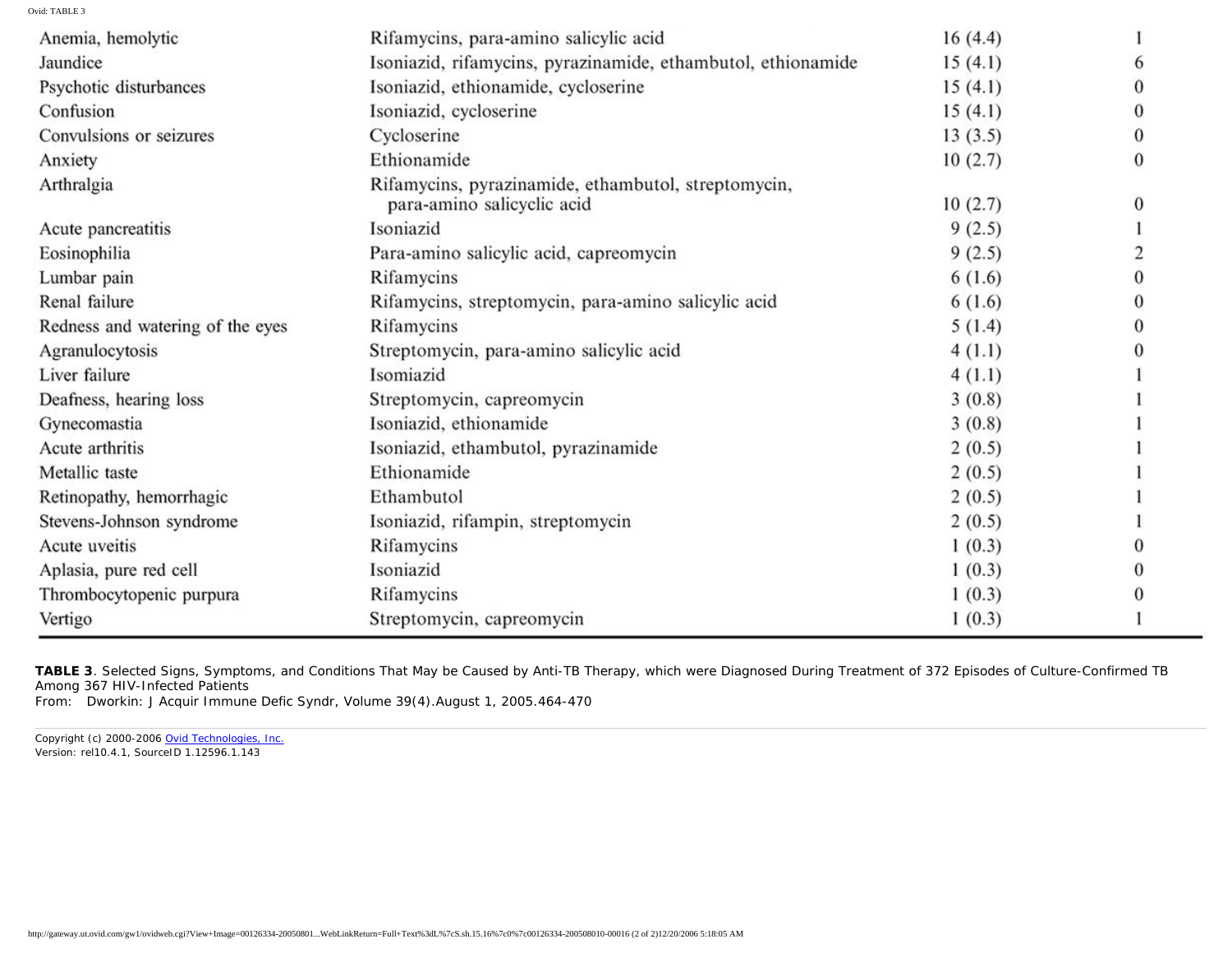Ovid: TABLE 3

| Anemia, hemolytic                | Rifamycins, para-amino salicylic acid                                             | 16(4.4) |          |
|----------------------------------|-----------------------------------------------------------------------------------|---------|----------|
| Jaundice                         | Isoniazid, rifamycins, pyrazinamide, ethambutol, ethionamide                      | 15(4.1) | 6        |
| Psychotic disturbances           | Isoniazid, ethionamide, cycloserine                                               | 15(4.1) |          |
| Confusion                        | Isoniazid, cycloserine                                                            | 15(4.1) |          |
| Convulsions or seizures          | Cycloserine                                                                       | 13(3.5) | 0        |
| Anxiety                          | Ethionamide                                                                       | 10(2.7) |          |
| Arthralgia                       | Rifamycins, pyrazinamide, ethambutol, streptomycin,<br>para-amino salicyclic acid | 10(2.7) |          |
| Acute pancreatitis               | Isoniazid                                                                         | 9(2.5)  |          |
| Eosinophilia                     | Para-amino salicylic acid, capreomycin                                            | 9(2.5)  |          |
| Lumbar pain                      | Rifamycins                                                                        | 6(1.6)  | $\theta$ |
| Renal failure                    | Rifamycins, streptomycin, para-amino salicylic acid                               | 6(1.6)  |          |
| Redness and watering of the eyes | Rifamycins                                                                        | 5(1.4)  |          |
| Agranulocytosis                  | Streptomycin, para-amino salicylic acid                                           | 4(1.1)  |          |
| Liver failure                    | Isomiazid                                                                         | 4(1.1)  |          |
| Deafness, hearing loss           | Streptomycin, capreomycin                                                         | 3(0.8)  |          |
| Gynecomastia                     | Isoniazid, ethionamide                                                            | 3(0.8)  |          |
| Acute arthritis                  | Isoniazid, ethambutol, pyrazinamide                                               | 2(0.5)  |          |
| Metallic taste                   | Ethionamide                                                                       | 2(0.5)  |          |
| Retinopathy, hemorrhagic         | Ethambutol                                                                        | 2(0.5)  |          |
| Stevens-Johnson syndrome         | Isoniazid, rifampin, streptomycin                                                 | 2(0.5)  |          |
| Acute uveitis                    | Rifamycins                                                                        | 1(0.3)  |          |
| Aplasia, pure red cell           | Isoniazid                                                                         | 1(0.3)  |          |
| Thrombocytopenic purpura         | Rifamycins                                                                        | 1(0.3)  |          |
| Vertigo                          | Streptomycin, capreomycin                                                         | 1(0.3)  |          |

**TABLE 3**. Selected Signs, Symptoms, and Conditions That May be Caused by Anti-TB Therapy, which were Diagnosed During Treatment of 372 Episodes of Culture-Confirmed TB Among 367 HIV-Infected Patients

*From:* Dworkin: J Acquir Immune Defic Syndr, Volume 39(4).August 1, 2005.464-470

Copyright (c) 2000-2006 [Ovid Technologies, Inc.](http://www.ovid.com/) Version: rel10.4.1, SourceID 1.12596.1.143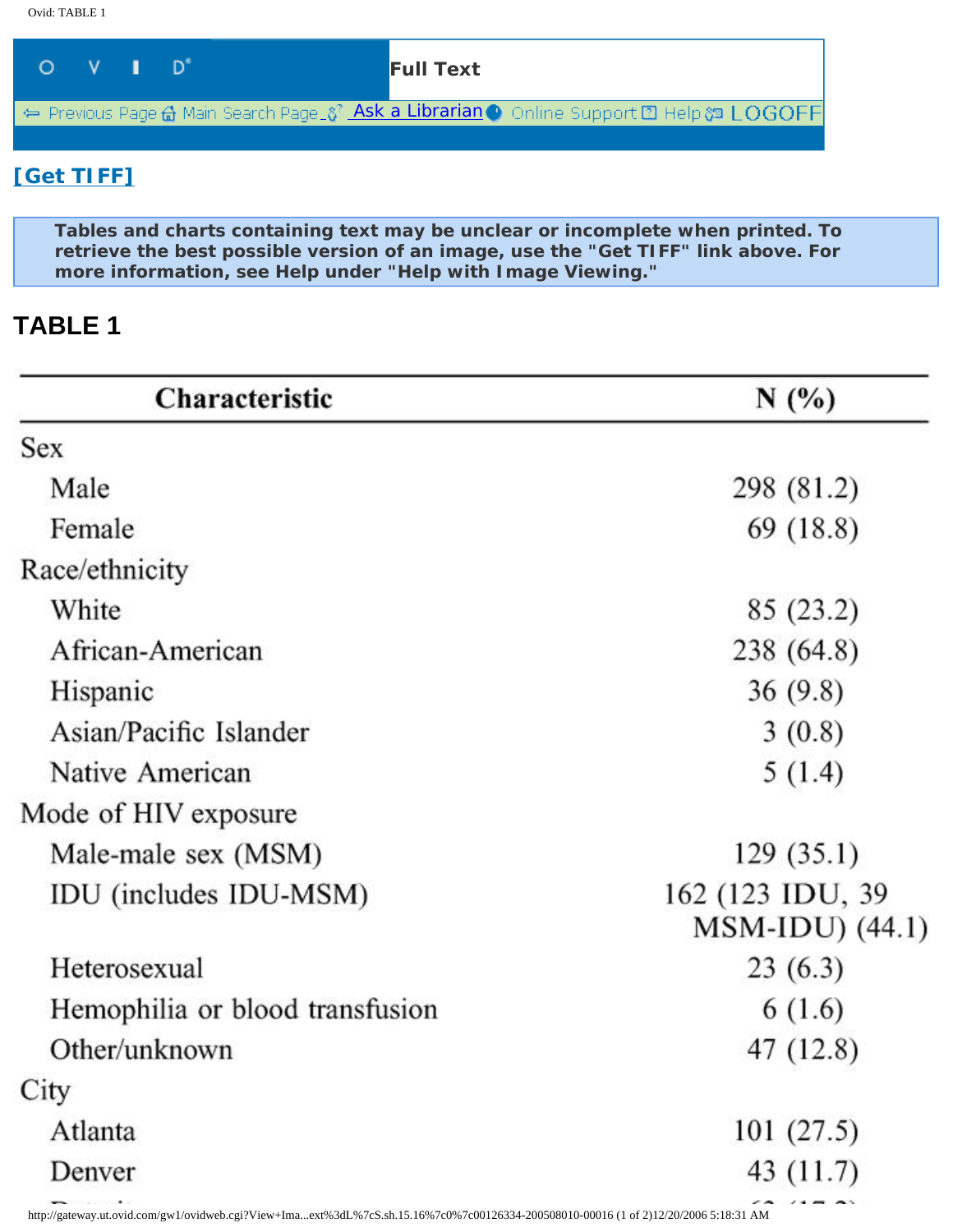

# **[\[Get TIFF\]](http://gateway.ut.ovid.com/gw1/ovidweb.cgi?S=IDNJHKOADHEKAK00D&Graphic=00126334-200508010-00016%7cTT1%7cL%7ctiff)**

**Tables and charts containing text may be unclear or incomplete when printed. To retrieve the best possible version of an image, use the "Get TIFF" link above. For more information, see Help under "Help with Image Viewing."**

# **TABLE 1**

| Characteristic                  | N(%)                                        |
|---------------------------------|---------------------------------------------|
| <b>Sex</b>                      |                                             |
| Male                            | 298 (81.2)                                  |
| Female                          | 69 (18.8)                                   |
| Race/ethnicity                  |                                             |
| White                           | 85 (23.2)                                   |
| African-American                | 238 (64.8)                                  |
| Hispanic                        | 36(9.8)                                     |
| Asian/Pacific Islander          | 3(0.8)                                      |
| Native American                 | 5(1.4)                                      |
| Mode of HIV exposure            |                                             |
| Male-male sex (MSM)             | 129(35.1)                                   |
| IDU (includes IDU-MSM)          | 162 (123 IDU, 39)<br><b>MSM-IDU)</b> (44.1) |
| Heterosexual                    | 23(6.3)                                     |
| Hemophilia or blood transfusion | 6(1.6)                                      |
| Other/unknown                   | 47 (12.8)                                   |
| City                            |                                             |
| Atlanta                         | 101(27.5)                                   |
| Denver                          | 43 $(11.7)$                                 |
| <u>MAINENI NANEARAIN ANNI.</u>  |                                             |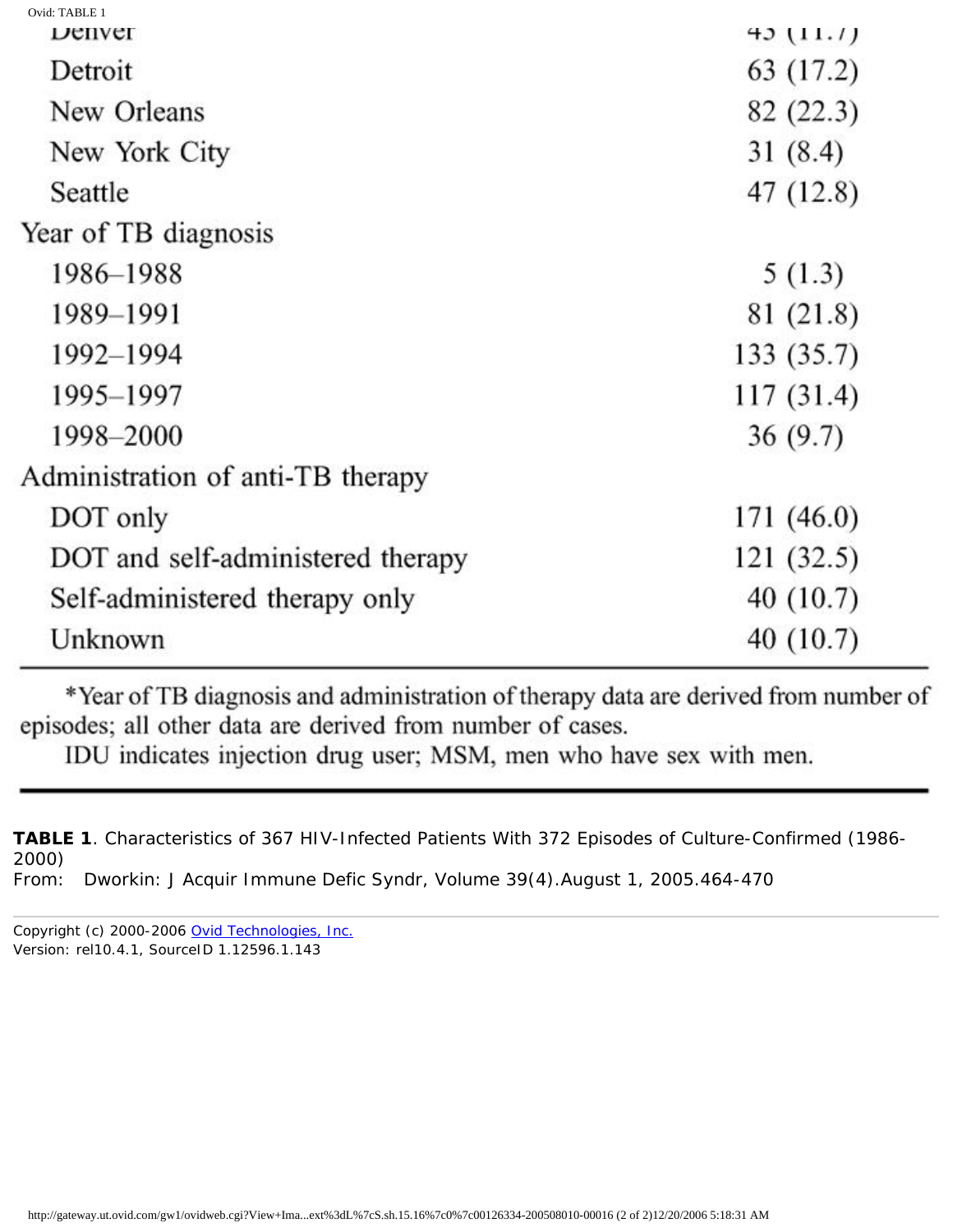| Ovid: TABLE 1<br>Denver           | 43(11.7)   |
|-----------------------------------|------------|
| Detroit                           | 63 (17.2)  |
| New Orleans                       | 82(22.3)   |
| New York City                     | 31(8.4)    |
| Seattle                           | 47 (12.8)  |
| Year of TB diagnosis              |            |
| 1986–1988                         | 5(1.3)     |
| 1989–1991                         | 81 (21.8)  |
| 1992-1994                         | 133(35.7)  |
| 1995-1997                         | 117(31.4)  |
| 1998-2000                         | 36(9.7)    |
| Administration of anti-TB therapy |            |
| DOT only                          | 171 (46.0) |
| DOT and self-administered therapy | 121(32.5)  |
| Self-administered therapy only    | 40 (10.7)  |
| Unknown                           | 40 (10.7)  |
|                                   |            |

\*Year of TB diagnosis and administration of therapy data are derived from number of episodes; all other data are derived from number of cases.

IDU indicates injection drug user; MSM, men who have sex with men.

**TABLE 1**. Characteristics of 367 HIV-Infected Patients With 372 Episodes of Culture-Confirmed (1986- 2000) *From:* Dworkin: J Acquir Immune Defic Syndr, Volume 39(4).August 1, 2005.464-470

Copyright (c) 2000-2006 [Ovid Technologies, Inc.](http://www.ovid.com/) Version: rel10.4.1, SourceID 1.12596.1.143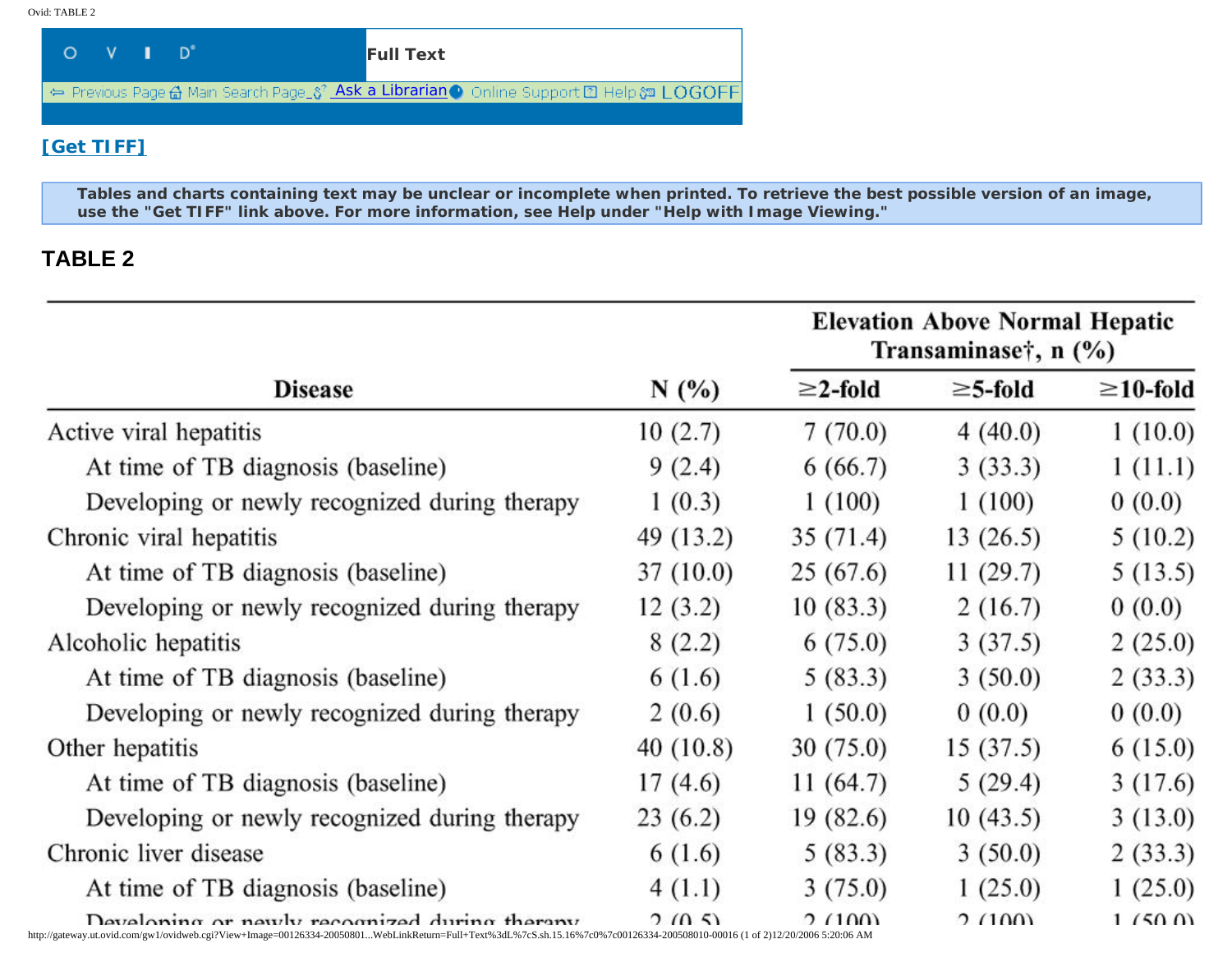Ovid: TABLE 2



# **[\[Get TIFF\]](http://gateway.ut.ovid.com/gw1/ovidweb.cgi?S=IDNJHKOADHEKAK00D&Graphic=00126334-200508010-00016%7cTT2%7cL%7ctiff)**

**Tables and charts containing text may be unclear or incomplete when printed. To retrieve the best possible version of an image, use the "Get TIFF" link above. For more information, see Help under "Help with Image Viewing."**

# **TABLE 2**

|                                                                                                                                                                                                                               |           | <b>Elevation Above Normal Hepatic</b><br>Transaminase†, n $(\% )$ |               |                |
|-------------------------------------------------------------------------------------------------------------------------------------------------------------------------------------------------------------------------------|-----------|-------------------------------------------------------------------|---------------|----------------|
| <b>Disease</b>                                                                                                                                                                                                                | N(%)      | $\geq$ 2-fold                                                     | $\geq$ 5-fold | $\geq$ 10-fold |
| Active viral hepatitis                                                                                                                                                                                                        | 10(2.7)   | 7(70.0)                                                           | 4(40.0)       | 1(10.0)        |
| At time of TB diagnosis (baseline)                                                                                                                                                                                            | 9(2.4)    | 6(66.7)                                                           | 3(33.3)       | 1(11.1)        |
| Developing or newly recognized during therapy                                                                                                                                                                                 | 1(0.3)    | 1(100)                                                            | 1(100)        | 0(0.0)         |
| Chronic viral hepatitis                                                                                                                                                                                                       | 49 (13.2) | 35(71.4)                                                          | 13(26.5)      | 5(10.2)        |
| At time of TB diagnosis (baseline)                                                                                                                                                                                            | 37(10.0)  | 25(67.6)                                                          | 11(29.7)      | 5(13.5)        |
| Developing or newly recognized during therapy                                                                                                                                                                                 | 12(3.2)   | 10(83.3)                                                          | 2(16.7)       | 0(0.0)         |
| Alcoholic hepatitis                                                                                                                                                                                                           | 8(2.2)    | 6(75.0)                                                           | 3(37.5)       | 2(25.0)        |
| At time of TB diagnosis (baseline)                                                                                                                                                                                            | 6(1.6)    | 5(83.3)                                                           | 3(50.0)       | 2(33.3)        |
| Developing or newly recognized during therapy                                                                                                                                                                                 | 2(0.6)    | 1(50.0)                                                           | 0(0.0)        | 0(0.0)         |
| Other hepatitis                                                                                                                                                                                                               | 40(10.8)  | 30 (75.0)                                                         | 15(37.5)      | 6(15.0)        |
| At time of TB diagnosis (baseline)                                                                                                                                                                                            | 17(4.6)   | 11 (64.7)                                                         | 5(29.4)       | 3(17.6)        |
| Developing or newly recognized during therapy                                                                                                                                                                                 | 23(6.2)   | 19 (82.6)                                                         | 10(43.5)      | 3(13.0)        |
| Chronic liver disease                                                                                                                                                                                                         | 6(1.6)    | 5(83.3)                                                           | 3(50.0)       | 2(33.3)        |
| At time of TB diagnosis (baseline)                                                                                                                                                                                            | 4(1.1)    | 3(75.0)                                                           | 1(25.0)       | 1(25.0)        |
| Davaloning or nawly recognized during therews<br>http://gateway.ut.ovid.com/gw1/ovidweb.cgi?View+Image=00126334-20050801WebLinkReturn=Full+Text%3dL%7cS.sh.15.16%7c0%7c00126334-200508010-00016 (1 of 2)12/20/2006 5:20:06 AM | 2(0,5)    | 2(100)                                                            | 2(100)        | 1/500          |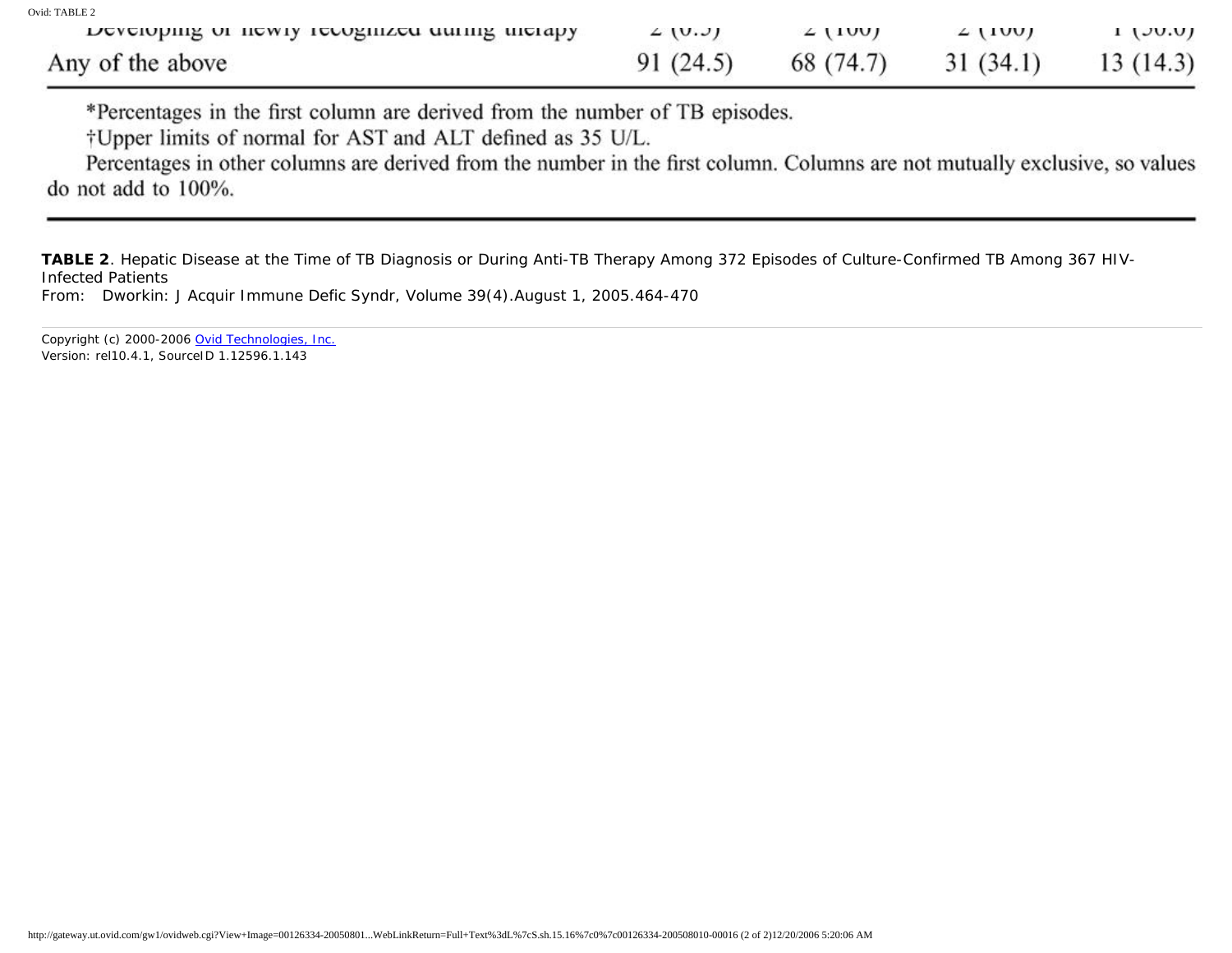Ovid: TABLE 2

| Developing of newly recognized during merapy | $\angle$ (V.J) | $\angle$ (100) | $\angle$ (100) | $1 \cup 0.0$ |
|----------------------------------------------|----------------|----------------|----------------|--------------|
| Any of the above                             | 91 (24.5)      | 68 (74.7)      | 31 (34.1)      | 13 (14.3)    |

\*Percentages in the first column are derived from the number of TB episodes.

†Upper limits of normal for AST and ALT defined as 35 U/L.

Percentages in other columns are derived from the number in the first column. Columns are not mutually exclusive, so values do not add to 100%.

**TABLE 2**. Hepatic Disease at the Time of TB Diagnosis or During Anti-TB Therapy Among 372 Episodes of Culture-Confirmed TB Among 367 HIV-Infected Patients

*From:* Dworkin: J Acquir Immune Defic Syndr, Volume 39(4).August 1, 2005.464-470

Copyright (c) 2000-2006 [Ovid Technologies, Inc.](http://www.ovid.com/) Version: rel10.4.1, SourceID 1.12596.1.143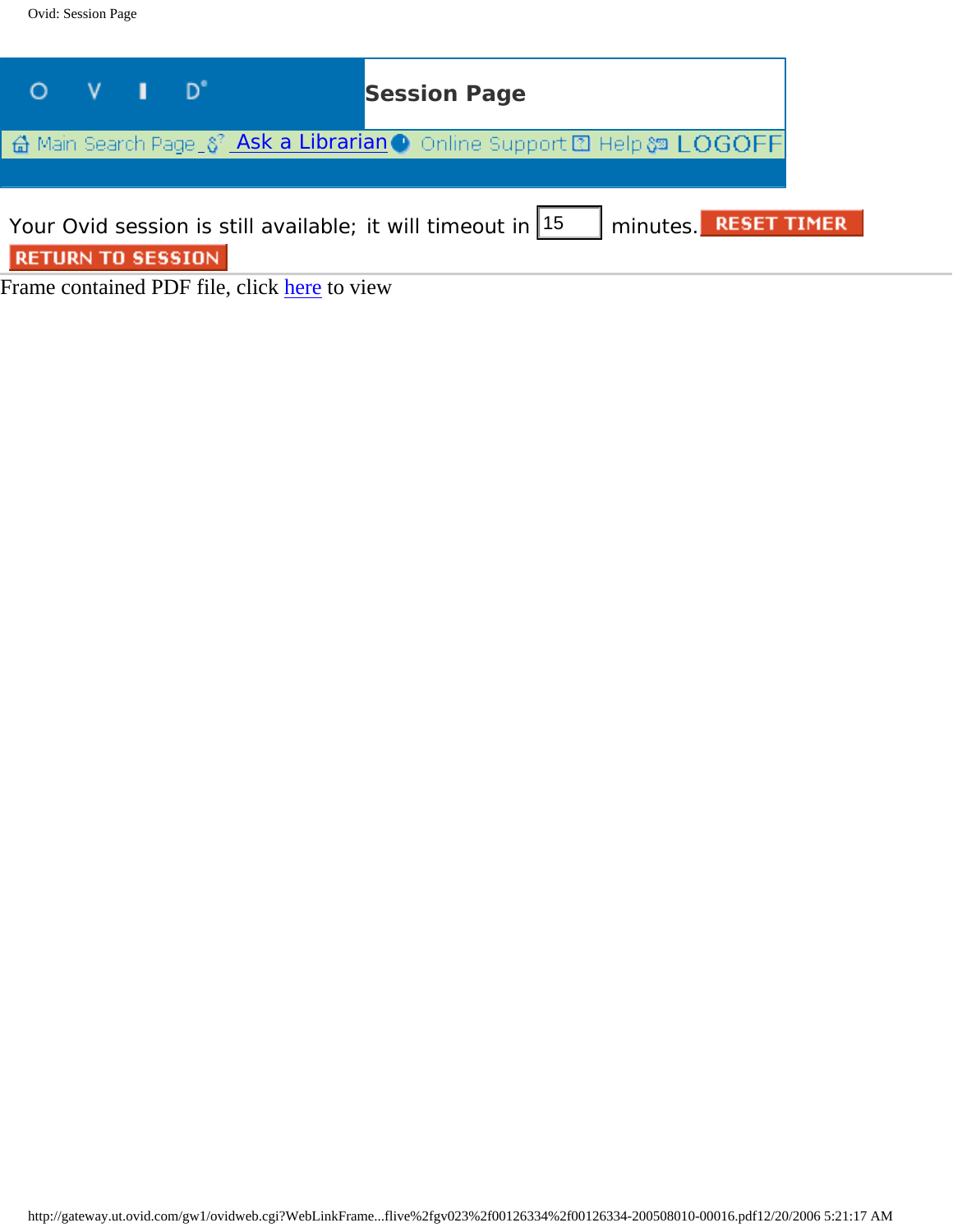| $\mathsf{D}^\circ$<br>٧<br>п<br><b>Session Page</b>                                                                                 |
|-------------------------------------------------------------------------------------------------------------------------------------|
| d Main Search Page_8 <sup>?</sup> Ask a Librarian ● Online Support <b>2 Help 8</b> LOGOFF                                           |
| Your Ovid session is still available; it will timeout in $15$<br>minutes. RESET TIMER<br><b>RETURN TO SESSION</b>                   |
| Frame contained PDF file, click here to view                                                                                        |
|                                                                                                                                     |
|                                                                                                                                     |
|                                                                                                                                     |
|                                                                                                                                     |
|                                                                                                                                     |
|                                                                                                                                     |
|                                                                                                                                     |
|                                                                                                                                     |
|                                                                                                                                     |
|                                                                                                                                     |
|                                                                                                                                     |
|                                                                                                                                     |
|                                                                                                                                     |
| http://gateway.ut.ovid.com/gw1/ovidweb.cgi?WebLinkFrameflive%2fgv023%2f00126334%2f00126334-200508010-00016.pdf12/20/2006 5:21:17 AM |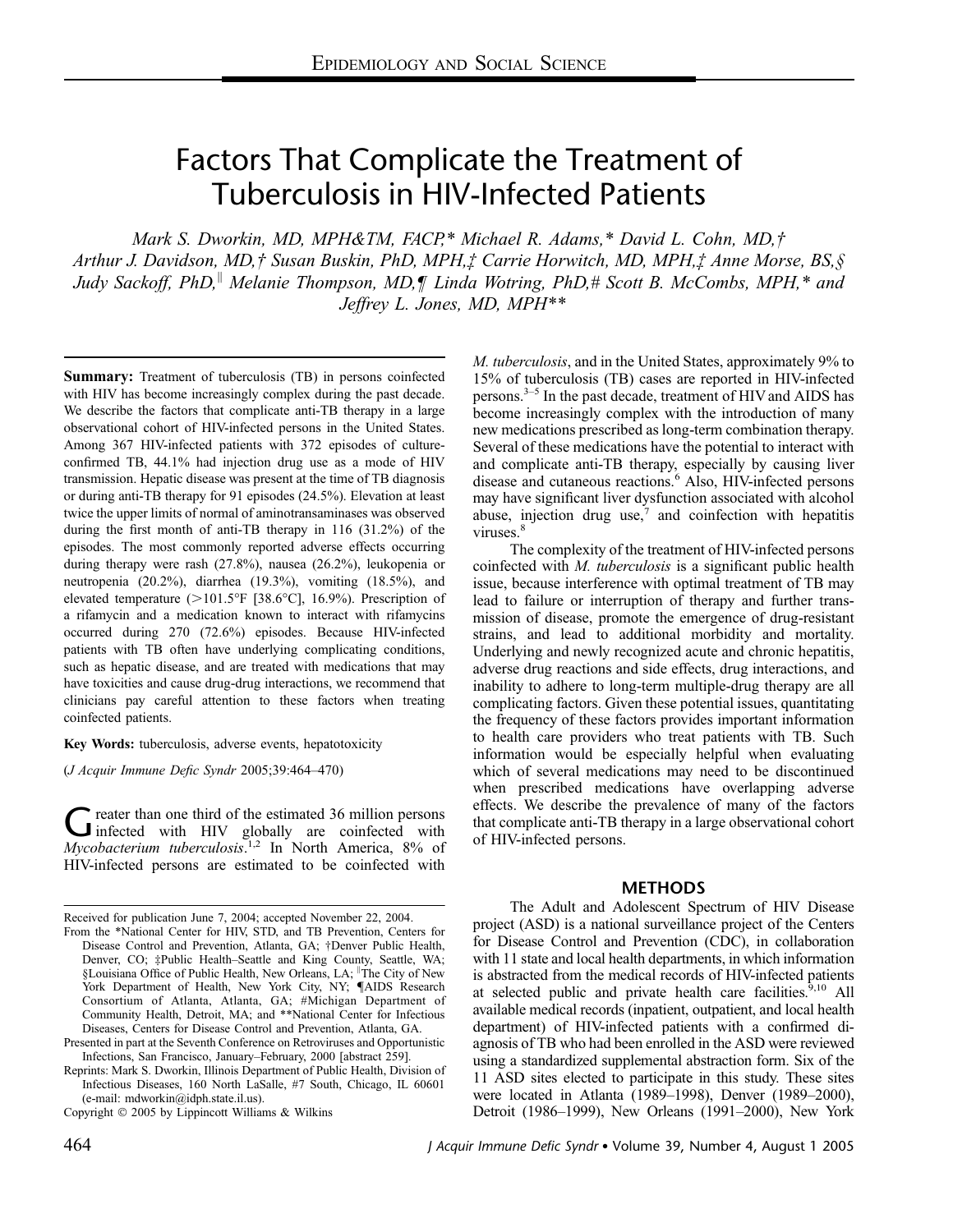# <span id="page-21-0"></span>Factors That Complicate the Treatment of Tuberculosis in HIV-Infected Patients

Mark S. Dworkin, MD, MPH&TM, FACP,\* Michael R. Adams,\* David L. Cohn, MD,† Arthur J. Davidson, MD,† Susan Buskin, PhD, MPH,‡ Carrie Horwitch, MD, MPH,‡ Anne Morse, BS,§ Judy Sackoff, PhD,<sup>||</sup> Melanie Thompson, MD,¶ Linda Wotring, PhD,# Scott B. McCombs, MPH,\* and Jeffrey L. Jones, MD, MPH\*\*

Summary: Treatment of tuberculosis (TB) in persons coinfected with HIV has become increasingly complex during the past decade. We describe the factors that complicate anti-TB therapy in a large observational cohort of HIV-infected persons in the United States. Among 367 HIV-infected patients with 372 episodes of cultureconfirmed TB, 44.1% had injection drug use as a mode of HIV transmission. Hepatic disease was present at the time of TB diagnosis or during anti-TB therapy for 91 episodes (24.5%). Elevation at least twice the upper limits of normal of aminotransaminases was observed during the first month of anti-TB therapy in 116 (31.2%) of the episodes. The most commonly reported adverse effects occurring during therapy were rash (27.8%), nausea (26.2%), leukopenia or neutropenia (20.2%), diarrhea (19.3%), vomiting (18.5%), and elevated temperature ( $>101.5^{\circ}F$  [38.6°C], 16.9%). Prescription of a rifamycin and a medication known to interact with rifamycins occurred during 270 (72.6%) episodes. Because HIV-infected patients with TB often have underlying complicating conditions, such as hepatic disease, and are treated with medications that may have toxicities and cause drug-drug interactions, we recommend that clinicians pay careful attention to these factors when treating coinfected patients.

Key Words: tuberculosis, adverse events, hepatotoxicity

(J Acquir Immune Defic Syndr 2005;39:464–470)

Greater than one third of the estimated 36 million persons<br>infected with HIV globally are coinfected with<br> $\frac{1}{2}$  in  $\frac{1}{2}$  in  $\frac{1}{2}$  in  $\frac{1}{2}$  in  $\frac{1}{2}$  in  $\frac{1}{2}$  in  $\frac{1}{2}$  in  $\frac{1}{2}$  in  $\frac{1}{2}$  i Mycobacterium tuberculosis.<sup>1,2</sup> In North America, 8% of HIV-infected persons are estimated to be coinfected with M. tuberculosis, and in the United States, approximately 9% to 15% of tuberculosis (TB) cases are reported in HIV-infected persons.3–5 In the past decade, treatment of HIV and AIDS has become increasingly complex with the introduction of many new medications prescribed as long-term combination therapy. Several of these medications have the potential to interact with and complicate anti-TB therapy, especially by causing liver disease and cutaneous reactions.<sup>6</sup> Also, HIV-infected persons may have significant liver dysfunction associated with alcohol abuse, injection drug use, $\bar{y}$  and coinfection with hepatitis viruses.<sup>8</sup>

The complexity of the treatment of HIV-infected persons coinfected with M. tuberculosis is a significant public health issue, because interference with optimal treatment of TB may lead to failure or interruption of therapy and further transmission of disease, promote the emergence of drug-resistant strains, and lead to additional morbidity and mortality. Underlying and newly recognized acute and chronic hepatitis, adverse drug reactions and side effects, drug interactions, and inability to adhere to long-term multiple-drug therapy are all complicating factors. Given these potential issues, quantitating the frequency of these factors provides important information to health care providers who treat patients with TB. Such information would be especially helpful when evaluating which of several medications may need to be discontinued when prescribed medications have overlapping adverse effects. We describe the prevalence of many of the factors that complicate anti-TB therapy in a large observational cohort of HIV-infected persons.

#### METHODS

The Adult and Adolescent Spectrum of HIV Disease project (ASD) is a national surveillance project of the Centers for Disease Control and Prevention (CDC), in collaboration with 11 state and local health departments, in which information is abstracted from the medical records of HIV-infected patients at selected public and private health care facilities.<sup>9,10</sup> All available medical records (inpatient, outpatient, and local health department) of HIV-infected patients with a confirmed diagnosis of TB who had been enrolled in the ASD were reviewed using a standardized supplemental abstraction form. Six of the 11 ASD sites elected to participate in this study. These sites were located in Atlanta (1989–1998), Denver (1989–2000), Detroit (1986–1999), New Orleans (1991–2000), New York

Received for publication June 7, 2004; accepted November 22, 2004.

From the \*National Center for HIV, STD, and TB Prevention, Centers for Disease Control and Prevention, Atlanta, GA; †Denver Public Health, Denver, CO; ‡Public Health–Seattle and King County, Seattle, WA; §Louisiana Office of Public Health, New Orleans, LA; <sup>||</sup>The City of New York Department of Health, New York City, NY; ¶AIDS Research Consortium of Atlanta, Atlanta, GA; #Michigan Department of Community Health, Detroit, MA; and \*\*National Center for Infectious Diseases, Centers for Disease Control and Prevention, Atlanta, GA.

Presented in part at the Seventh Conference on Retroviruses and Opportunistic Infections, San Francisco, January–February, 2000 [abstract 259].

Reprints: Mark S. Dworkin, Illinois Department of Public Health, Division of Infectious Diseases, 160 North LaSalle, #7 South, Chicago, IL 60601 (e-mail: mdworkin@idph.state.il.us).

Copyright © 2005 by Lippincott Williams & Wilkins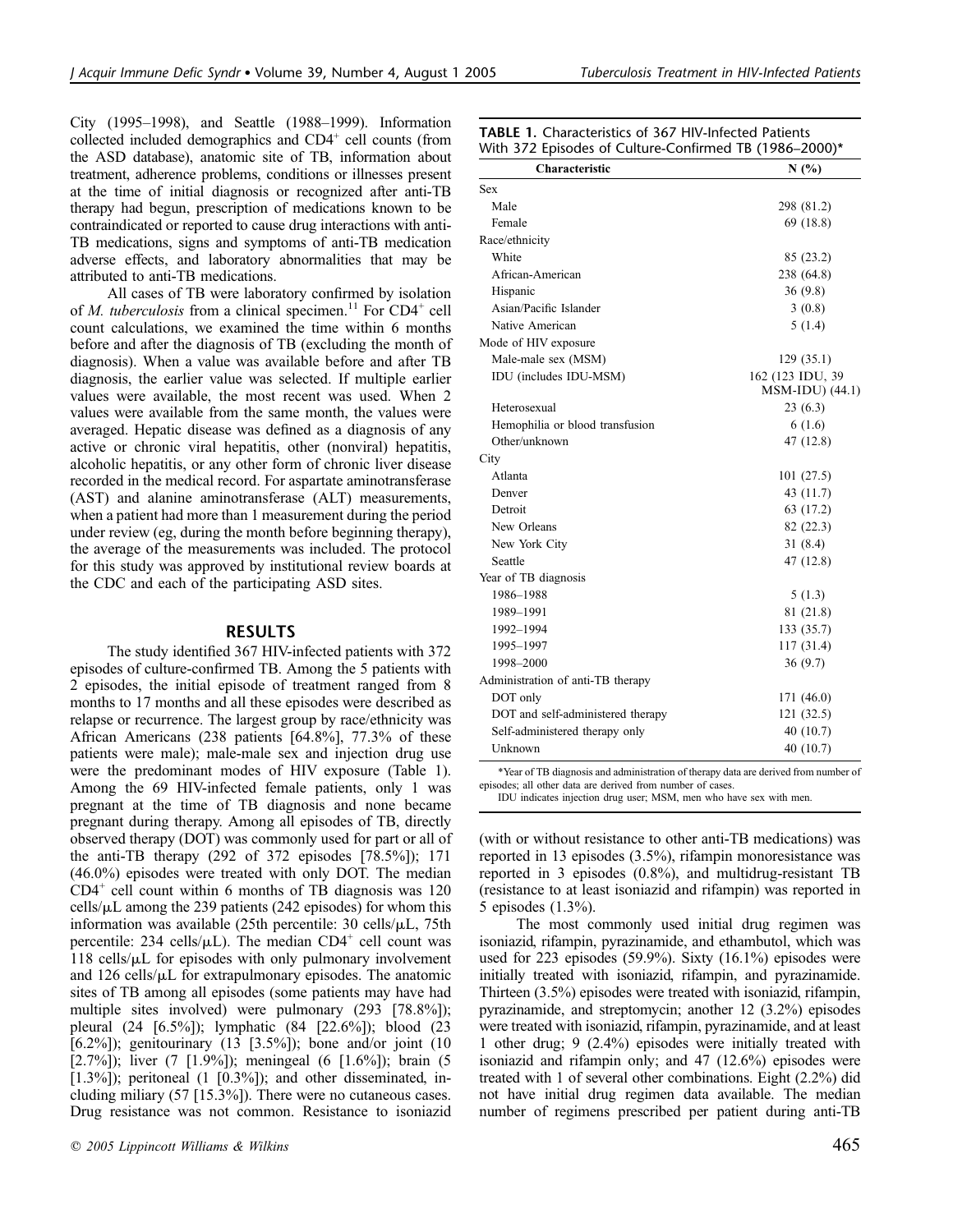City (1995–1998), and Seattle (1988–1999). Information collected included demographics and  $CD4<sup>+</sup>$  cell counts (from the ASD database), anatomic site of TB, information about treatment, adherence problems, conditions or illnesses present at the time of initial diagnosis or recognized after anti-TB therapy had begun, prescription of medications known to be contraindicated or reported to cause drug interactions with anti-TB medications, signs and symptoms of anti-TB medication adverse effects, and laboratory abnormalities that may be attributed to anti-TB medications.

All cases of TB were laboratory confirmed by isolation of *M. tuberculosis* from a clinical specimen.<sup>11</sup> For  $CD4^+$  cell count calculations, we examined the time within 6 months before and after the diagnosis of TB (excluding the month of diagnosis). When a value was available before and after TB diagnosis, the earlier value was selected. If multiple earlier values were available, the most recent was used. When 2 values were available from the same month, the values were averaged. Hepatic disease was defined as a diagnosis of any active or chronic viral hepatitis, other (nonviral) hepatitis, alcoholic hepatitis, or any other form of chronic liver disease recorded in the medical record. For aspartate aminotransferase (AST) and alanine aminotransferase (ALT) measurements, when a patient had more than 1 measurement during the period under review (eg, during the month before beginning therapy), the average of the measurements was included. The protocol for this study was approved by institutional review boards at the CDC and each of the participating ASD sites.

#### RESULTS

The study identified 367 HIV-infected patients with 372 episodes of culture-confirmed TB. Among the 5 patients with 2 episodes, the initial episode of treatment ranged from 8 months to 17 months and all these episodes were described as relapse or recurrence. The largest group by race/ethnicity was African Americans (238 patients [64.8%], 77.3% of these patients were male); male-male sex and injection drug use were the predominant modes of HIV exposure (Table 1). Among the 69 HIV-infected female patients, only 1 was pregnant at the time of TB diagnosis and none became pregnant during therapy. Among all episodes of TB, directly observed therapy (DOT) was commonly used for part or all of the anti-TB therapy (292 of 372 episodes [78.5%]); 171 (46.0%) episodes were treated with only DOT. The median  $CD4^+$  cell count within 6 months of TB diagnosis was 120 cells/ $\mu$ L among the 239 patients (242 episodes) for whom this information was available (25th percentile:  $30$  cells/ $\mu$ L, 75th percentile: 234 cells/ $\mu$ L). The median CD4<sup>+</sup> cell count was  $118$  cells/ $\mu$ L for episodes with only pulmonary involvement and  $126$  cells/ $\mu$ L for extrapulmonary episodes. The anatomic sites of TB among all episodes (some patients may have had multiple sites involved) were pulmonary (293 [78.8%]); pleural (24 [6.5%]); lymphatic (84 [22.6%]); blood (23 [6.2%]); genitourinary (13 [3.5%]); bone and/or joint (10 [2.7%]); liver (7 [1.9%]); meningeal (6 [1.6%]); brain (5  $[1.3\%]$ ; peritoneal  $(1 \; [0.3\%])$ ; and other disseminated, including miliary (57 [15.3%]). There were no cutaneous cases. Drug resistance was not common. Resistance to isoniazid

| Characteristic                    | N(%)                                        |
|-----------------------------------|---------------------------------------------|
| <b>Sex</b>                        |                                             |
| Male                              | 298 (81.2)                                  |
| Female                            | 69(18.8)                                    |
| Race/ethnicity                    |                                             |
| White                             | 85 (23.2)                                   |
| African-American                  | 238 (64.8)                                  |
| Hispanic                          | 36(9.8)                                     |
| Asian/Pacific Islander            | 3(0.8)                                      |
| Native American                   | 5(1.4)                                      |
| Mode of HIV exposure              |                                             |
| Male-male sex (MSM)               | 129(35.1)                                   |
| IDU (includes IDU-MSM)            | 162 (123 IDU, 39<br><b>MSM-IDU</b> ) (44.1) |
| Heterosexual                      | 23(6.3)                                     |
| Hemophilia or blood transfusion   | 6(1.6)                                      |
| Other/unknown                     | 47 (12.8)                                   |
| City                              |                                             |
| Atlanta                           | 101(27.5)                                   |
| Denver                            | 43 (11.7)                                   |
| Detroit                           | 63 (17.2)                                   |
| New Orleans                       | 82 (22.3)                                   |
| New York City                     | 31(8.4)                                     |
| Seattle                           | 47 (12.8)                                   |
| Year of TB diagnosis              |                                             |
| 1986-1988                         | 5(1.3)                                      |
| 1989-1991                         | 81 (21.8)                                   |
| 1992-1994                         | 133 (35.7)                                  |
| 1995-1997                         | 117(31.4)                                   |
| 1998-2000                         | 36(9.7)                                     |
| Administration of anti-TB therapy |                                             |
| DOT only                          | 171 (46.0)                                  |
| DOT and self-administered therapy | 121(32.5)                                   |
| Self-administered therapy only    | 40(10.7)                                    |
| Unknown                           | 40(10.7)                                    |

TABLE 1. Characteristics of 367 HIV-Infected Patients With 272 Episodes of Culture-Confirmed TB (1986–2000)\*

\*Year of TB diagnosis and administration of therapy data are derived from number of episodes; all other data are derived from number of cases.

IDU indicates injection drug user; MSM, men who have sex with men.

(with or without resistance to other anti-TB medications) was reported in 13 episodes (3.5%), rifampin monoresistance was reported in 3 episodes (0.8%), and multidrug-resistant TB (resistance to at least isoniazid and rifampin) was reported in 5 episodes (1.3%).

The most commonly used initial drug regimen was isoniazid, rifampin, pyrazinamide, and ethambutol, which was used for 223 episodes (59.9%). Sixty (16.1%) episodes were initially treated with isoniazid, rifampin, and pyrazinamide. Thirteen (3.5%) episodes were treated with isoniazid, rifampin, pyrazinamide, and streptomycin; another 12 (3.2%) episodes were treated with isoniazid, rifampin, pyrazinamide, and at least 1 other drug; 9 (2.4%) episodes were initially treated with isoniazid and rifampin only; and 47 (12.6%) episodes were treated with 1 of several other combinations. Eight (2.2%) did not have initial drug regimen data available. The median number of regimens prescribed per patient during anti-TB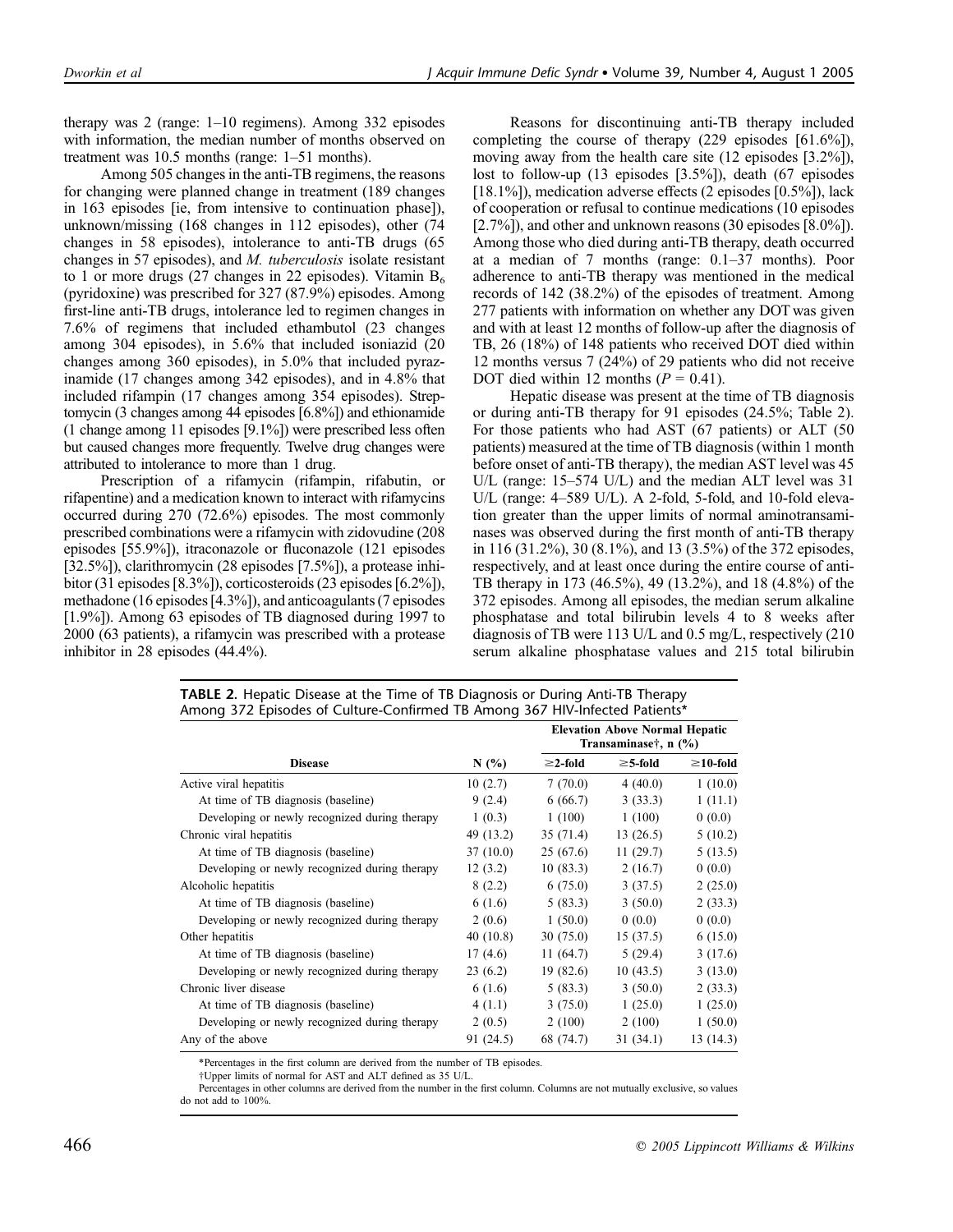therapy was 2 (range: 1–10 regimens). Among 332 episodes with information, the median number of months observed on treatment was 10.5 months (range: 1–51 months).

Among 505 changes in the anti-TB regimens, the reasons for changing were planned change in treatment (189 changes in 163 episodes [ie, from intensive to continuation phase]), unknown/missing (168 changes in 112 episodes), other (74 changes in 58 episodes), intolerance to anti-TB drugs (65 changes in 57 episodes), and M. tuberculosis isolate resistant to 1 or more drugs (27 changes in 22 episodes). Vitamin  $B_6$ (pyridoxine) was prescribed for 327 (87.9%) episodes. Among first-line anti-TB drugs, intolerance led to regimen changes in 7.6% of regimens that included ethambutol (23 changes among 304 episodes), in 5.6% that included isoniazid (20 changes among 360 episodes), in 5.0% that included pyrazinamide (17 changes among 342 episodes), and in 4.8% that included rifampin (17 changes among 354 episodes). Streptomycin (3 changes among 44 episodes [6.8%]) and ethionamide (1 change among 11 episodes [9.1%]) were prescribed less often but caused changes more frequently. Twelve drug changes were attributed to intolerance to more than 1 drug.

Prescription of a rifamycin (rifampin, rifabutin, or rifapentine) and a medication known to interact with rifamycins occurred during 270 (72.6%) episodes. The most commonly prescribed combinations were a rifamycin with zidovudine (208 episodes [55.9%]), itraconazole or fluconazole (121 episodes [32.5%]), clarithromycin (28 episodes [7.5%]), a protease inhibitor (31 episodes [8.3%]), corticosteroids (23 episodes [6.2%]), methadone (16 episodes [4.3%]), and anticoagulants (7 episodes [1.9%]). Among 63 episodes of TB diagnosed during 1997 to 2000 (63 patients), a rifamycin was prescribed with a protease inhibitor in 28 episodes (44.4%).

Reasons for discontinuing anti-TB therapy included completing the course of therapy (229 episodes [61.6%]), moving away from the health care site (12 episodes [3.2%]), lost to follow-up (13 episodes [3.5%]), death (67 episodes [18.1%]), medication adverse effects (2 episodes [0.5%]), lack of cooperation or refusal to continue medications (10 episodes [2.7%]), and other and unknown reasons (30 episodes [8.0%]). Among those who died during anti-TB therapy, death occurred at a median of 7 months (range: 0.1–37 months). Poor adherence to anti-TB therapy was mentioned in the medical records of 142 (38.2%) of the episodes of treatment. Among 277 patients with information on whether any DOT was given and with at least 12 months of follow-up after the diagnosis of TB, 26 (18%) of 148 patients who received DOT died within 12 months versus 7 (24%) of 29 patients who did not receive DOT died within 12 months ( $P = 0.41$ ).

Hepatic disease was present at the time of TB diagnosis or during anti-TB therapy for 91 episodes (24.5%; Table 2). For those patients who had AST (67 patients) or ALT (50 patients) measured at the time of TB diagnosis (within 1 month before onset of anti-TB therapy), the median AST level was 45 U/L (range: 15–574 U/L) and the median ALT level was 31 U/L (range: 4–589 U/L). A 2-fold, 5-fold, and 10-fold elevation greater than the upper limits of normal aminotransaminases was observed during the first month of anti-TB therapy in 116 (31.2%), 30 (8.1%), and 13 (3.5%) of the 372 episodes, respectively, and at least once during the entire course of anti-TB therapy in 173 (46.5%), 49 (13.2%), and 18 (4.8%) of the 372 episodes. Among all episodes, the median serum alkaline phosphatase and total bilirubin levels 4 to 8 weeks after diagnosis of TB were 113 U/L and 0.5 mg/L, respectively (210 serum alkaline phosphatase values and 215 total bilirubin

|                                               |           | <b>Elevation Above Normal Hepatic</b><br>Transaminase†, n $(\% )$ |               |                |
|-----------------------------------------------|-----------|-------------------------------------------------------------------|---------------|----------------|
| <b>Disease</b>                                | N(%)      | $\geq$ 2-fold                                                     | $\geq$ 5-fold | $\geq$ 10-fold |
| Active viral hepatitis                        | 10(2.7)   | 7(70.0)                                                           | 4(40.0)       | 1(10.0)        |
| At time of TB diagnosis (baseline)            | 9(2.4)    | 6(66.7)                                                           | 3(33.3)       | 1(11.1)        |
| Developing or newly recognized during therapy | 1(0.3)    | 1(100)                                                            | 1(100)        | 0(0.0)         |
| Chronic viral hepatitis                       | 49 (13.2) | 35(71.4)                                                          | 13(26.5)      | 5(10.2)        |
| At time of TB diagnosis (baseline)            | 37(10.0)  | 25(67.6)                                                          | 11(29.7)      | 5(13.5)        |
| Developing or newly recognized during therapy | 12(3.2)   | 10(83.3)                                                          | 2(16.7)       | 0(0.0)         |
| Alcoholic hepatitis                           | 8(2.2)    | 6(75.0)                                                           | 3(37.5)       | 2(25.0)        |
| At time of TB diagnosis (baseline)            | 6(1.6)    | 5(83.3)                                                           | 3(50.0)       | 2(33.3)        |
| Developing or newly recognized during therapy | 2(0.6)    | 1(50.0)                                                           | 0(0.0)        | 0(0.0)         |
| Other hepatitis                               | 40(10.8)  | 30(75.0)                                                          | 15(37.5)      | 6(15.0)        |
| At time of TB diagnosis (baseline)            | 17(4.6)   | 11 $(64.7)$                                                       | 5(29.4)       | 3(17.6)        |
| Developing or newly recognized during therapy | 23(6.2)   | 19(82.6)                                                          | 10(43.5)      | 3(13.0)        |
| Chronic liver disease                         | 6(1.6)    | 5(83.3)                                                           | 3(50.0)       | 2(33.3)        |
| At time of TB diagnosis (baseline)            | 4(1.1)    | 3(75.0)                                                           | 1(25.0)       | 1(25.0)        |
| Developing or newly recognized during therapy | 2(0.5)    | 2(100)                                                            | 2(100)        | 1(50.0)        |
| Any of the above                              | 91 (24.5) | 68 (74.7)                                                         | 31(34.1)      | 13(14.3)       |

TABLE 2. Hepatic Disease at the Time of TB Diagnosis or During Anti-TB Therapy Among 372 Episodes of Culture-Confirmed TB Among 367 HIV-Infected Patients\*

\*Percentages in the first column are derived from the number of TB episodes.

†Upper limits of normal for AST and ALT defined as 35 U/L.

Percentages in other columns are derived from the number in the first column. Columns are not mutually exclusive, so values do not add to 100%.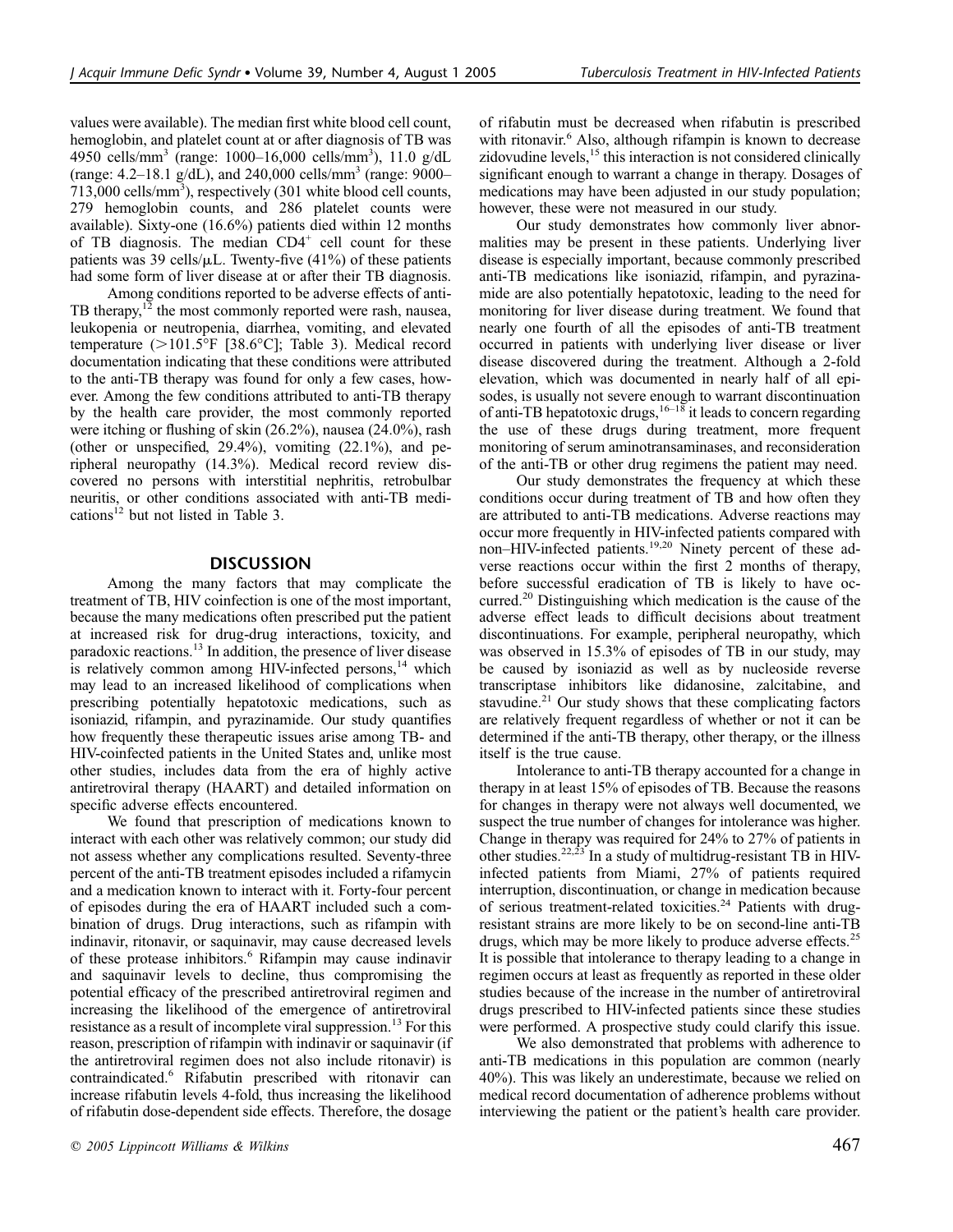values were available). The median first white blood cell count, hemoglobin, and platelet count at or after diagnosis of TB was 4950 cells/mm<sup>3</sup> (range: 1000–16,000 cells/mm<sup>3</sup> ), 11.0 g/dL (range:  $4.2-18.1$  g/dL), and  $240,000$  cells/mm<sup>3</sup> (range:  $9000 713,000$  cells/mm<sup>3</sup>), respectively (301 white blood cell counts, 279 hemoglobin counts, and 286 platelet counts were available). Sixty-one (16.6%) patients died within 12 months of TB diagnosis. The median  $CD4^+$  cell count for these patients was 39 cells/ $\mu$ L. Twenty-five (41%) of these patients had some form of liver disease at or after their TB diagnosis.

Among conditions reported to be adverse effects of anti-TB therapy, $12$  the most commonly reported were rash, nausea, leukopenia or neutropenia, diarrhea, vomiting, and elevated temperature  $(>101.5^{\circ}F$  [38.6°C]; Table 3). Medical record documentation indicating that these conditions were attributed to the anti-TB therapy was found for only a few cases, however. Among the few conditions attributed to anti-TB therapy by the health care provider, the most commonly reported were itching or flushing of skin (26.2%), nausea (24.0%), rash (other or unspecified,  $29.4\%$ ), vomiting  $(22.1\%)$ , and peripheral neuropathy (14.3%). Medical record review discovered no persons with interstitial nephritis, retrobulbar neuritis, or other conditions associated with anti-TB medications<sup>12</sup> but not listed in Table 3.

### **DISCUSSION**

Among the many factors that may complicate the treatment of TB, HIV coinfection is one of the most important, because the many medications often prescribed put the patient at increased risk for drug-drug interactions, toxicity, and paradoxic reactions.<sup>13</sup> In addition, the presence of liver disease is relatively common among HIV-infected persons, $14$  which may lead to an increased likelihood of complications when prescribing potentially hepatotoxic medications, such as isoniazid, rifampin, and pyrazinamide. Our study quantifies how frequently these therapeutic issues arise among TB- and HIV-coinfected patients in the United States and, unlike most other studies, includes data from the era of highly active antiretroviral therapy (HAART) and detailed information on specific adverse effects encountered.

We found that prescription of medications known to interact with each other was relatively common; our study did not assess whether any complications resulted. Seventy-three percent of the anti-TB treatment episodes included a rifamycin and a medication known to interact with it. Forty-four percent of episodes during the era of HAART included such a combination of drugs. Drug interactions, such as rifampin with indinavir, ritonavir, or saquinavir, may cause decreased levels of these protease inhibitors.<sup>6</sup> Rifampin may cause indinavir and saquinavir levels to decline, thus compromising the potential efficacy of the prescribed antiretroviral regimen and increasing the likelihood of the emergence of antiretroviral resistance as a result of incomplete viral suppression.<sup>13</sup> For this reason, prescription of rifampin with indinavir or saquinavir (if the antiretroviral regimen does not also include ritonavir) is contraindicated.<sup>6</sup> Rifabutin prescribed with ritonavir can increase rifabutin levels 4-fold, thus increasing the likelihood of rifabutin dose-dependent side effects. Therefore, the dosage of rifabutin must be decreased when rifabutin is prescribed with ritonavir.<sup>6</sup> Also, although rifampin is known to decrease zidovudine levels, $15$  this interaction is not considered clinically significant enough to warrant a change in therapy. Dosages of medications may have been adjusted in our study population; however, these were not measured in our study.

Our study demonstrates how commonly liver abnormalities may be present in these patients. Underlying liver disease is especially important, because commonly prescribed anti-TB medications like isoniazid, rifampin, and pyrazinamide are also potentially hepatotoxic, leading to the need for monitoring for liver disease during treatment. We found that nearly one fourth of all the episodes of anti-TB treatment occurred in patients with underlying liver disease or liver disease discovered during the treatment. Although a 2-fold elevation, which was documented in nearly half of all episodes, is usually not severe enough to warrant discontinuation of anti-TB hepatotoxic drugs,  $16-18$  it leads to concern regarding the use of these drugs during treatment, more frequent monitoring of serum aminotransaminases, and reconsideration of the anti-TB or other drug regimens the patient may need.

Our study demonstrates the frequency at which these conditions occur during treatment of TB and how often they are attributed to anti-TB medications. Adverse reactions may occur more frequently in HIV-infected patients compared with non–HIV-infected patients.<sup>19,20</sup> Ninety percent of these adverse reactions occur within the first 2 months of therapy, before successful eradication of TB is likely to have occurred.<sup>20</sup> Distinguishing which medication is the cause of the adverse effect leads to difficult decisions about treatment discontinuations. For example, peripheral neuropathy, which was observed in 15.3% of episodes of TB in our study, may be caused by isoniazid as well as by nucleoside reverse transcriptase inhibitors like didanosine, zalcitabine, and stavudine. $21$  Our study shows that these complicating factors are relatively frequent regardless of whether or not it can be determined if the anti-TB therapy, other therapy, or the illness itself is the true cause.

Intolerance to anti-TB therapy accounted for a change in therapy in at least 15% of episodes of TB. Because the reasons for changes in therapy were not always well documented, we suspect the true number of changes for intolerance was higher. Change in therapy was required for 24% to 27% of patients in other studies.<sup>22,23</sup> In a study of multidrug-resistant TB in HIVinfected patients from Miami, 27% of patients required interruption, discontinuation, or change in medication because of serious treatment-related toxicities.<sup>24</sup> Patients with drugresistant strains are more likely to be on second-line anti-TB drugs, which may be more likely to produce adverse effects.<sup>25</sup> It is possible that intolerance to therapy leading to a change in regimen occurs at least as frequently as reported in these older studies because of the increase in the number of antiretroviral drugs prescribed to HIV-infected patients since these studies were performed. A prospective study could clarify this issue.

We also demonstrated that problems with adherence to anti-TB medications in this population are common (nearly 40%). This was likely an underestimate, because we relied on medical record documentation of adherence problems without interviewing the patient or the patient's health care provider.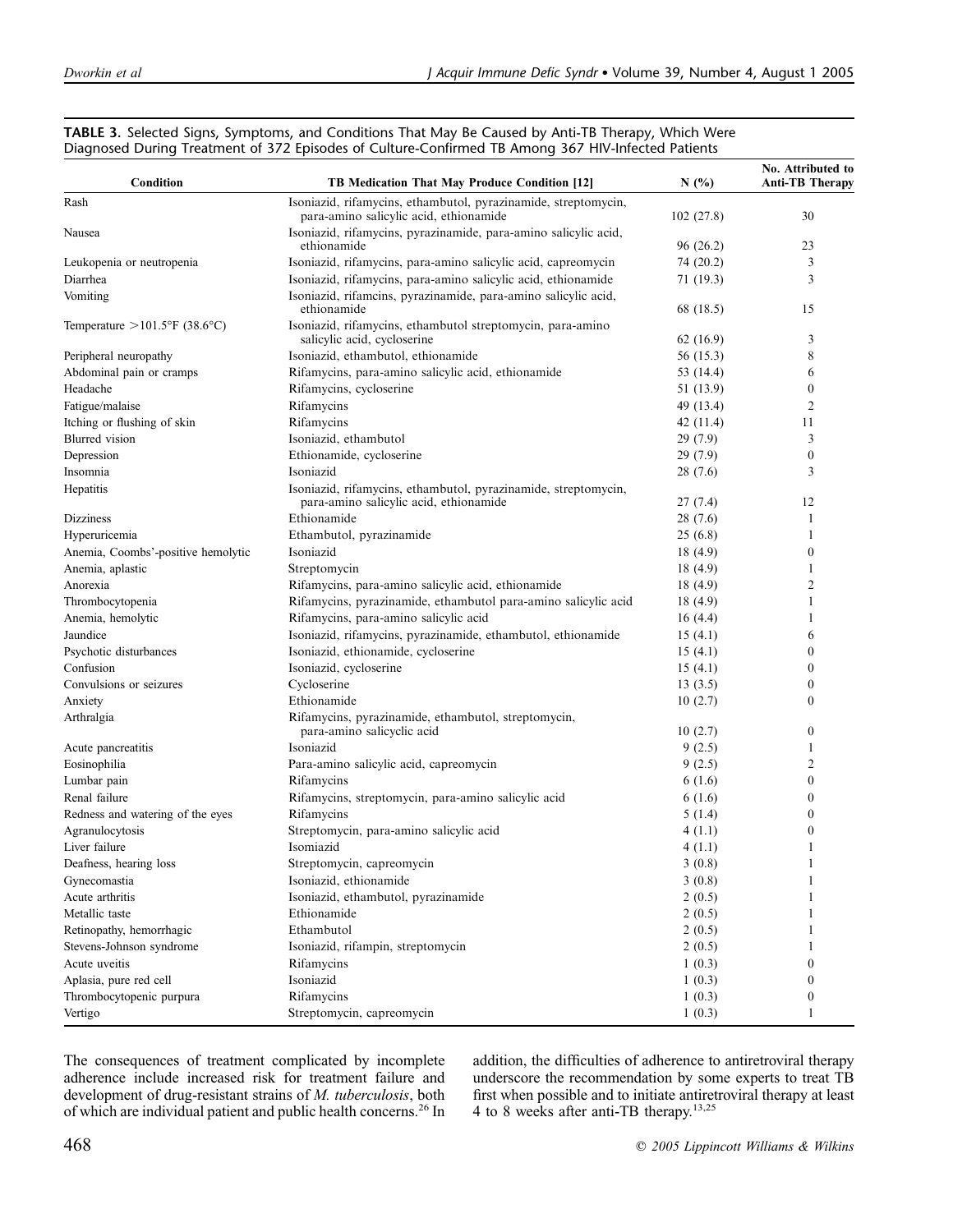| Condition                          | TB Medication That May Produce Condition [12]                                                            | N(%)      | No. Attributed to<br><b>Anti-TB Therapy</b> |
|------------------------------------|----------------------------------------------------------------------------------------------------------|-----------|---------------------------------------------|
| Rash                               | Isoniazid, rifamycins, ethambutol, pyrazinamide, streptomycin,<br>para-amino salicylic acid, ethionamide | 102(27.8) | 30                                          |
| Nausea                             | Isoniazid, rifamycins, pyrazinamide, para-amino salicylic acid,<br>ethionamide                           | 96 (26.2) | 23                                          |
| Leukopenia or neutropenia          | Isoniazid, rifamycins, para-amino salicylic acid, capreomycin                                            | 74 (20.2) | 3                                           |
| Diarrhea                           | Isoniazid, rifamycins, para-amino salicylic acid, ethionamide                                            | 71 (19.3) | 3                                           |
| Vomiting                           | Isoniazid, rifamcins, pyrazinamide, para-amino salicylic acid,<br>ethionamide                            | 68 (18.5) | 15                                          |
| Temperature $>101.5$ °F (38.6°C)   | Isoniazid, rifamycins, ethambutol streptomycin, para-amino<br>salicylic acid, cycloserine                | 62(16.9)  | 3                                           |
| Peripheral neuropathy              | Isoniazid, ethambutol, ethionamide                                                                       | 56 (15.3) | 8                                           |
| Abdominal pain or cramps           | Rifamycins, para-amino salicylic acid, ethionamide                                                       | 53 (14.4) | 6                                           |
| Headache                           | Rifamycins, cycloserine                                                                                  | 51 (13.9) | $\theta$                                    |
| Fatigue/malaise                    | Rifamycins                                                                                               | 49 (13.4) | $\overline{2}$                              |
| Itching or flushing of skin        | Rifamycins                                                                                               | 42 (11.4) | 11                                          |
| Blurred vision                     | Isoniazid, ethambutol                                                                                    | 29(7.9)   | 3                                           |
| Depression                         | Ethionamide, cycloserine                                                                                 | 29(7.9)   | $\boldsymbol{0}$                            |
| Insomnia                           | Isoniazid                                                                                                | 28 (7.6)  | 3                                           |
| Hepatitis                          | Isoniazid, rifamycins, ethambutol, pyrazinamide, streptomycin,<br>para-amino salicylic acid, ethionamide | 27 (7.4)  | 12                                          |
| <b>Dizziness</b>                   | Ethionamide                                                                                              | 28 (7.6)  | 1                                           |
| Hyperuricemia                      | Ethambutol, pyrazinamide                                                                                 | 25(6.8)   | 1                                           |
| Anemia, Coombs'-positive hemolytic | Isoniazid                                                                                                | 18(4.9)   | $\boldsymbol{0}$                            |
| Anemia, aplastic                   | Streptomycin                                                                                             | 18(4.9)   | 1                                           |
| Anorexia                           | Rifamycins, para-amino salicylic acid, ethionamide                                                       | 18(4.9)   | $\overline{2}$                              |
| Thrombocytopenia                   | Rifamycins, pyrazinamide, ethambutol para-amino salicylic acid                                           | 18 (4.9)  | 1                                           |
| Anemia, hemolytic                  | Rifamycins, para-amino salicylic acid                                                                    | 16(4.4)   | 1                                           |
| Jaundice                           | Isoniazid, rifamycins, pyrazinamide, ethambutol, ethionamide                                             | 15(4.1)   | 6                                           |
| Psychotic disturbances             | Isoniazid, ethionamide, cycloserine                                                                      | 15(4.1)   | $\theta$                                    |
| Confusion                          | Isoniazid, cycloserine                                                                                   | 15(4.1)   | $\theta$                                    |
| Convulsions or seizures            | Cycloserine                                                                                              | 13(3.5)   | $\mathbf{0}$                                |
| Anxiety                            | Ethionamide                                                                                              | 10(2.7)   | $\mathbf{0}$                                |
| Arthralgia                         | Rifamycins, pyrazinamide, ethambutol, streptomycin,<br>para-amino salicyclic acid                        | 10(2.7)   | $\boldsymbol{0}$                            |
| Acute pancreatitis                 | Isoniazid                                                                                                | 9(2.5)    | 1                                           |
| Eosinophilia                       | Para-amino salicylic acid, capreomycin                                                                   | 9(2.5)    | 2                                           |
| Lumbar pain                        | Rifamycins                                                                                               | 6(1.6)    | $\theta$                                    |
| Renal failure                      | Rifamycins, streptomycin, para-amino salicylic acid                                                      | 6(1.6)    | $\theta$                                    |
| Redness and watering of the eyes   | Rifamycins                                                                                               | 5(1.4)    | $\theta$                                    |
| Agranulocytosis                    | Streptomycin, para-amino salicylic acid                                                                  | 4(1.1)    | $\boldsymbol{0}$                            |
| Liver failure                      | Isomiazid                                                                                                | 4(1.1)    | 1                                           |
| Deafness, hearing loss             | Streptomycin, capreomycin                                                                                | 3(0.8)    | 1                                           |
| Gynecomastia                       | Isoniazid, ethionamide                                                                                   | 3(0.8)    |                                             |
| Acute arthritis                    | Isoniazid, ethambutol, pyrazinamide                                                                      | 2(0.5)    |                                             |
| Metallic taste                     | Ethionamide                                                                                              | 2(0.5)    |                                             |
| Retinopathy, hemorrhagic           | Ethambutol                                                                                               | 2(0.5)    |                                             |
| Stevens-Johnson syndrome           | Isoniazid, rifampin, streptomycin                                                                        | 2(0.5)    | 1                                           |
| Acute uveitis                      | Rifamycins                                                                                               | 1(0.3)    | $\theta$                                    |
| Aplasia, pure red cell             | Isoniazid                                                                                                | 1(0.3)    | $\boldsymbol{0}$                            |
| Thrombocytopenic purpura           | Rifamycins                                                                                               | 1(0.3)    | $\boldsymbol{0}$                            |
| Vertigo                            | Streptomycin, capreomycin                                                                                | 1(0.3)    | $\mathbf{1}$                                |

TABLE 3. Selected Signs, Symptoms, and Conditions That May Be Caused by Anti-TB Therapy, Which Were Diagnosed During Treatment of 372 Episodes of Culture-Confirmed TB Among 367 HIV-Infected Patients

The consequences of treatment complicated by incomplete adherence include increased risk for treatment failure and development of drug-resistant strains of M. tuberculosis, both of which are individual patient and public health concerns.26 In addition, the difficulties of adherence to antiretroviral therapy underscore the recommendation by some experts to treat TB first when possible and to initiate antiretroviral therapy at least 4 to 8 weeks after anti-TB therapy.<sup>13,25</sup>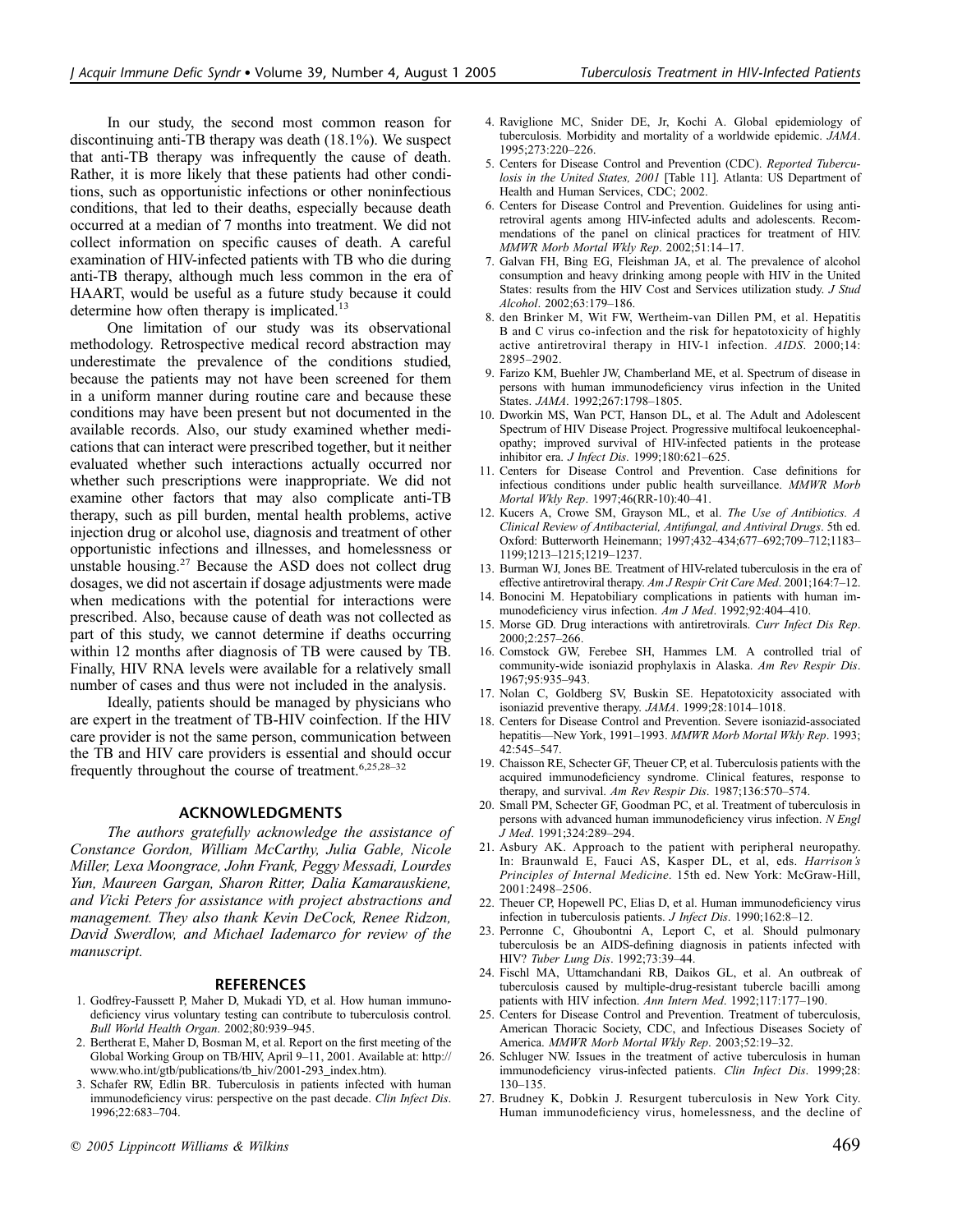In our study, the second most common reason for discontinuing anti-TB therapy was death (18.1%). We suspect that anti-TB therapy was infrequently the cause of death. Rather, it is more likely that these patients had other conditions, such as opportunistic infections or other noninfectious conditions, that led to their deaths, especially because death occurred at a median of 7 months into treatment. We did not collect information on specific causes of death. A careful examination of HIV-infected patients with TB who die during anti-TB therapy, although much less common in the era of HAART, would be useful as a future study because it could determine how often therapy is implicated.<sup>13</sup>

One limitation of our study was its observational methodology. Retrospective medical record abstraction may underestimate the prevalence of the conditions studied, because the patients may not have been screened for them in a uniform manner during routine care and because these conditions may have been present but not documented in the available records. Also, our study examined whether medications that can interact were prescribed together, but it neither evaluated whether such interactions actually occurred nor whether such prescriptions were inappropriate. We did not examine other factors that may also complicate anti-TB therapy, such as pill burden, mental health problems, active injection drug or alcohol use, diagnosis and treatment of other opportunistic infections and illnesses, and homelessness or unstable housing.<sup>27</sup> Because the ASD does not collect drug dosages, we did not ascertain if dosage adjustments were made when medications with the potential for interactions were prescribed. Also, because cause of death was not collected as part of this study, we cannot determine if deaths occurring within 12 months after diagnosis of TB were caused by TB. Finally, HIV RNA levels were available for a relatively small number of cases and thus were not included in the analysis.

Ideally, patients should be managed by physicians who are expert in the treatment of TB-HIV coinfection. If the HIV care provider is not the same person, communication between the TB and HIV care providers is essential and should occur frequently throughout the course of treatment.<sup>6,25,28-32</sup>

#### ACKNOWLEDGMENTS

The authors gratefully acknowledge the assistance of Constance Gordon, William McCarthy, Julia Gable, Nicole Miller, Lexa Moongrace, John Frank, Peggy Messadi, Lourdes Yun, Maureen Gargan, Sharon Ritter, Dalia Kamarauskiene, and Vicki Peters for assistance with project abstractions and management. They also thank Kevin DeCock, Renee Ridzon, David Swerdlow, and Michael Iademarco for review of the manuscript.

#### **REFERENCES**

- 1. Godfrey-Faussett P, Maher D, Mukadi YD, et al. How human immunodeficiency virus voluntary testing can contribute to tuberculosis control. Bull World Health Organ. 2002;80:939–945.
- 2. Bertherat E, Maher D, Bosman M, et al. Report on the first meeting of the Global Working Group on TB/HIV, April 9–11, 2001. Available at: http:// www.who.int/gtb/publications/tb\_hiv/2001-293\_index.htm).
- 3. Schafer RW, Edlin BR. Tuberculosis in patients infected with human immunodeficiency virus: perspective on the past decade. Clin Infect Dis. 1996;22:683–704.
- 4. Raviglione MC, Snider DE, Jr, Kochi A. Global epidemiology of tuberculosis. Morbidity and mortality of a worldwide epidemic. JAMA. 1995;273:220–226.
- 5. Centers for Disease Control and Prevention (CDC). Reported Tuberculosis in the United States, 2001 [Table 11]. Atlanta: US Department of Health and Human Services, CDC; 2002.
- 6. Centers for Disease Control and Prevention. Guidelines for using antiretroviral agents among HIV-infected adults and adolescents. Recommendations of the panel on clinical practices for treatment of HIV. MMWR Morb Mortal Wkly Rep. 2002;51:14–17.
- 7. Galvan FH, Bing EG, Fleishman JA, et al. The prevalence of alcohol consumption and heavy drinking among people with HIV in the United States: results from the HIV Cost and Services utilization study. J Stud Alcohol. 2002;63:179–186.
- 8. den Brinker M, Wit FW, Wertheim-van Dillen PM, et al. Hepatitis B and C virus co-infection and the risk for hepatotoxicity of highly active antiretroviral therapy in HIV-1 infection. AIDS. 2000;14: 2895–2902.
- 9. Farizo KM, Buehler JW, Chamberland ME, et al. Spectrum of disease in persons with human immunodeficiency virus infection in the United States. JAMA. 1992;267:1798–1805.
- 10. Dworkin MS, Wan PCT, Hanson DL, et al. The Adult and Adolescent Spectrum of HIV Disease Project. Progressive multifocal leukoencephalopathy; improved survival of HIV-infected patients in the protease inhibitor era. J Infect Dis. 1999;180:621–625.
- 11. Centers for Disease Control and Prevention. Case definitions for infectious conditions under public health surveillance. MMWR Morb Mortal Wkly Rep. 1997;46(RR-10):40–41.
- 12. Kucers A, Crowe SM, Grayson ML, et al. The Use of Antibiotics. A Clinical Review of Antibacterial, Antifungal, and Antiviral Drugs. 5th ed. Oxford: Butterworth Heinemann; 1997;432–434;677–692;709–712;1183– 1199;1213–1215;1219–1237.
- 13. Burman WJ, Jones BE. Treatment of HIV-related tuberculosis in the era of effective antiretroviral therapy. Am J Respir Crit Care Med. 2001;164:7-12.
- 14. Bonocini M. Hepatobiliary complications in patients with human immunodeficiency virus infection. Am J Med. 1992;92:404-410.
- 15. Morse GD. Drug interactions with antiretrovirals. Curr Infect Dis Rep. 2000;2:257–266.
- 16. Comstock GW, Ferebee SH, Hammes LM. A controlled trial of community-wide isoniazid prophylaxis in Alaska. Am Rev Respir Dis. 1967;95:935–943.
- 17. Nolan C, Goldberg SV, Buskin SE. Hepatotoxicity associated with isoniazid preventive therapy. JAMA. 1999;28:1014–1018.
- 18. Centers for Disease Control and Prevention. Severe isoniazid-associated hepatitis—New York, 1991–1993. MMWR Morb Mortal Wkly Rep. 1993; 42:545–547.
- 19. Chaisson RE, Schecter GF, Theuer CP, et al. Tuberculosis patients with the acquired immunodeficiency syndrome. Clinical features, response to therapy, and survival. Am Rev Respir Dis. 1987;136:570-574.
- 20. Small PM, Schecter GF, Goodman PC, et al. Treatment of tuberculosis in persons with advanced human immunodeficiency virus infection. N Engl J Med. 1991;324:289–294.
- 21. Asbury AK. Approach to the patient with peripheral neuropathy. In: Braunwald E, Fauci AS, Kasper DL, et al, eds. Harrison's Principles of Internal Medicine. 15th ed. New York: McGraw-Hill, 2001:2498–2506.
- 22. Theuer CP, Hopewell PC, Elias D, et al. Human immunodeficiency virus infection in tuberculosis patients. J Infect Dis. 1990;162:8–12.
- 23. Perronne C, Ghoubontni A, Leport C, et al. Should pulmonary tuberculosis be an AIDS-defining diagnosis in patients infected with HIV? Tuber Lung Dis. 1992;73:39–44.
- 24. Fischl MA, Uttamchandani RB, Daikos GL, et al. An outbreak of tuberculosis caused by multiple-drug-resistant tubercle bacilli among patients with HIV infection. Ann Intern Med. 1992;117:177–190.
- 25. Centers for Disease Control and Prevention. Treatment of tuberculosis, American Thoracic Society, CDC, and Infectious Diseases Society of America. MMWR Morb Mortal Wkly Rep. 2003;52:19–32.
- 26. Schluger NW. Issues in the treatment of active tuberculosis in human immunodeficiency virus-infected patients. Clin Infect Dis. 1999;28: 130–135.
- 27. Brudney K, Dobkin J. Resurgent tuberculosis in New York City. Human immunodeficiency virus, homelessness, and the decline of